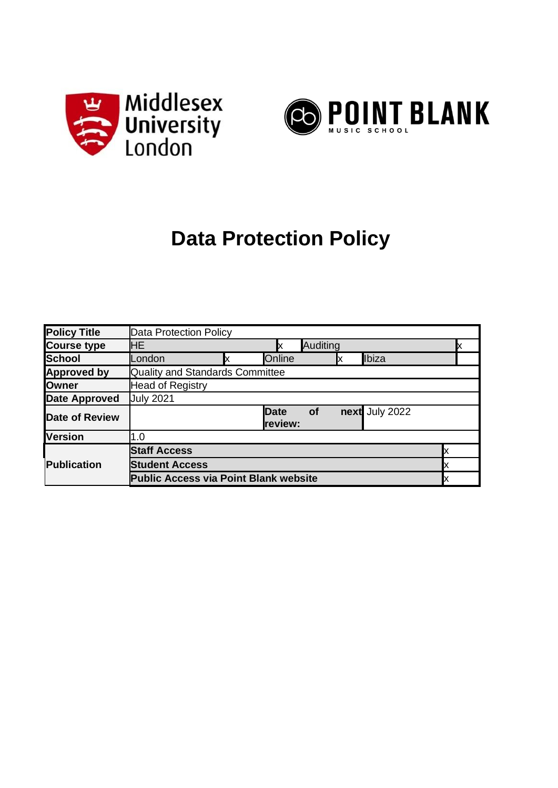



# **Data Protection Policy**

| <b>Policy Title</b>   | Data Protection Policy                       |  |                        |                 |    |                |  |  |
|-----------------------|----------------------------------------------|--|------------------------|-----------------|----|----------------|--|--|
| <b>Course type</b>    | HE.                                          |  | Ix                     | <b>Auditing</b> |    |                |  |  |
| School                | London                                       |  | Online                 |                 | IX | Ibiza          |  |  |
| <b>Approved by</b>    | <b>Quality and Standards Committee</b>       |  |                        |                 |    |                |  |  |
| <b>Owner</b>          | <b>Head of Registry</b>                      |  |                        |                 |    |                |  |  |
| <b>Date Approved</b>  | <b>July 2021</b>                             |  |                        |                 |    |                |  |  |
| <b>Date of Review</b> |                                              |  | <b>Date</b><br>review: | <b>of</b>       |    | next July 2022 |  |  |
| <b>Version</b>        | 1.0                                          |  |                        |                 |    |                |  |  |
|                       | <b>Staff Access</b>                          |  |                        |                 |    |                |  |  |
| <b>Publication</b>    | <b>Student Access</b>                        |  |                        |                 |    |                |  |  |
|                       | <b>Public Access via Point Blank website</b> |  |                        |                 |    |                |  |  |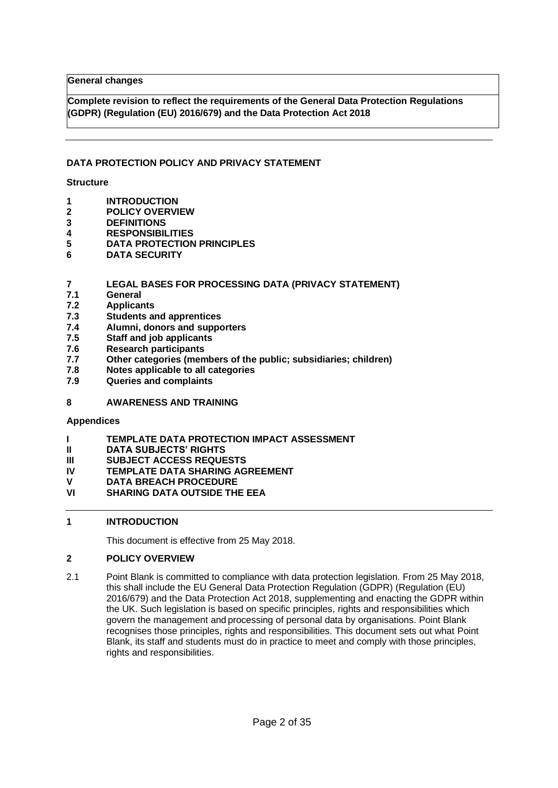**General changes**

**Complete revision to reflect the requirements of the General Data Protection Regulations (GDPR) (Regulation (EU) 2016/679) and the Data Protection Act 2018**

#### **DATA PROTECTION POLICY AND PRIVACY STATEMENT**

#### **Structure**

- **1 INTRODUCTION**
- **2 POLICY OVERVIEW**
- **3 DEFINITIONS**
- **4 RESPONSIBILITIES**
- **5 DATA PROTECTION PRINCIPLES**
- **6 DATA SECURITY**

#### **7 LEGAL BASES FOR PROCESSING DATA (PRIVACY STATEMENT)**

- **7.1 General**
- **7.2 Applicants**
- **7.3 Students and apprentices**
- **7.4 Alumni, donors and supporters**
- **7.5 Staff and job applicants**
- **7.6 Research participants**
- **7.7 Other categories (members of the public; subsidiaries; children)**
- **7.8 Notes applicable to all categories**
- **7.9 Queries and complaints**

#### **8 AWARENESS AND TRAINING**

#### **Appendices**

- **I TEMPLATE DATA PROTECTION IMPACT ASSESSMENT**
- **II DATA SUBJECTS' RIGHTS**
- **III SUBJECT ACCESS REQUESTS**
- **IV TEMPLATE DATA SHARING AGREEMENT**
- **V DATA BREACH PROCEDURE**
- **VI SHARING DATA OUTSIDE THE EEA**

# **1 INTRODUCTION**

This document is effective from 25 May 2018.

#### **2 POLICY OVERVIEW**

2.1 Point Blank is committed to compliance with data protection legislation. From 25 May 2018, this shall include the EU General Data Protection Regulation (GDPR) (Regulation (EU) 2016/679) and the Data Protection Act 2018, supplementing and enacting the GDPR within the UK. Such legislation is based on specific principles, rights and responsibilities which govern the management and processing of personal data by organisations. Point Blank recognises those principles, rights and responsibilities. This document sets out what Point Blank, its staff and students must do in practice to meet and comply with those principles, rights and responsibilities.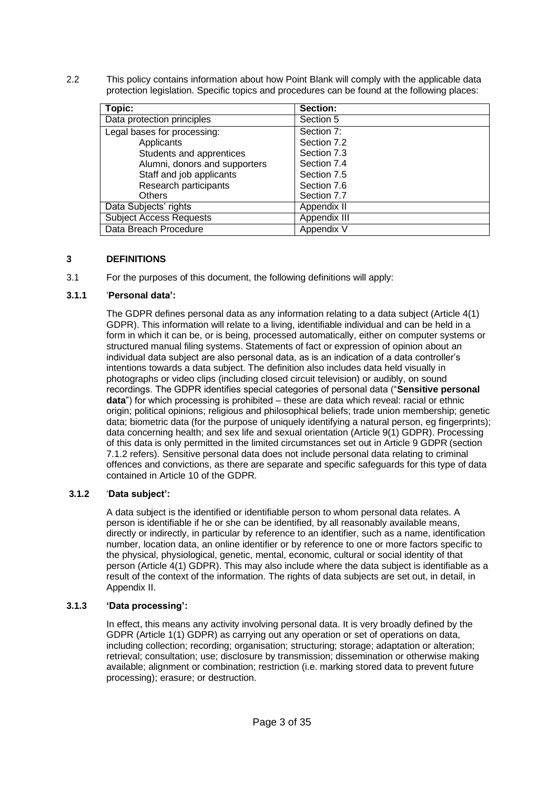2.2 This policy contains information about how Point Blank will comply with the applicable data protection legislation. Specific topics and procedures can be found at the following places:

| Topic:                         | Section:     |
|--------------------------------|--------------|
| Data protection principles     | Section 5    |
| Legal bases for processing:    | Section 7:   |
| Applicants                     | Section 7.2  |
| Students and apprentices       | Section 7.3  |
| Alumni, donors and supporters  | Section 7.4  |
| Staff and job applicants       | Section 7.5  |
| Research participants          | Section 7.6  |
| <b>Others</b>                  | Section 7.7  |
| Data Subjects' rights          | Appendix II  |
| <b>Subject Access Requests</b> | Appendix III |
| Data Breach Procedure          | Appendix V   |

#### **3 DEFINITIONS**

3.1 For the purposes of this document, the following definitions will apply:

#### **3.1.1** '**Personal data':**

The GDPR defines personal data as any information relating to a data subject (Article 4(1) GDPR). This information will relate to a living, identifiable individual and can be held in a form in which it can be, or is being, processed automatically, either on computer systems or structured manual filing systems. Statements of fact or expression of opinion about an individual data subject are also personal data, as is an indication of a data controller's intentions towards a data subject. The definition also includes data held visually in photographs or video clips (including closed circuit television) or audibly, on sound recordings. The GDPR identifies special categories of personal data ("**Sensitive personal data**") for which processing is prohibited – these are data which reveal: racial or ethnic origin; political opinions; religious and philosophical beliefs; trade union membership; genetic data; biometric data (for the purpose of uniquely identifying a natural person, eg fingerprints); data concerning health; and sex life and sexual orientation (Article 9(1) GDPR). Processing of this data is only permitted in the limited circumstances set out in Article 9 GDPR (section 7.1.2 refers). Sensitive personal data does not include personal data relating to criminal offences and convictions, as there are separate and specific safeguards for this type of data contained in Article 10 of the GDPR.

#### **3.1.2** '**Data subject':**

A data subject is the identified or identifiable person to whom personal data relates. A person is identifiable if he or she can be identified, by all reasonably available means, directly or indirectly, in particular by reference to an identifier, such as a name, identification number, location data, an online identifier or by reference to one or more factors specific to the physical, physiological, genetic, mental, economic, cultural or social identity of that person (Article 4(1) GDPR). This may also include where the data subject is identifiable as a result of the context of the information. The rights of data subjects are set out, in detail, in Appendix II.

#### **3.1.3 'Data processing':**

In effect, this means any activity involving personal data. It is very broadly defined by the GDPR (Article 1(1) GDPR) as carrying out any operation or set of operations on data, including collection; recording; organisation; structuring; storage; adaptation or alteration; retrieval; consultation; use; disclosure by transmission; dissemination or otherwise making available; alignment or combination; restriction (i.e. marking stored data to prevent future processing); erasure; or destruction.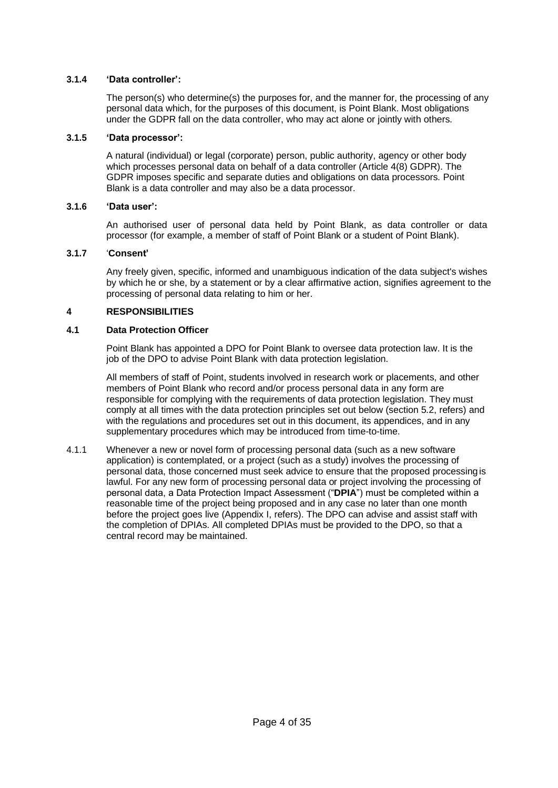## **3.1.4 'Data controller':**

The person(s) who determine(s) the purposes for, and the manner for, the processing of any personal data which, for the purposes of this document, is Point Blank. Most obligations under the GDPR fall on the data controller, who may act alone or jointly with others.

#### **3.1.5 'Data processor':**

A natural (individual) or legal (corporate) person, public authority, agency or other body which processes personal data on behalf of a data controller (Article 4(8) GDPR). The GDPR imposes specific and separate duties and obligations on data processors. Point Blank is a data controller and may also be a data processor.

#### **3.1.6 'Data user':**

An authorised user of personal data held by Point Blank, as data controller or data processor (for example, a member of staff of Point Blank or a student of Point Blank).

#### **3.1.7** '**Consent'**

Any freely given, specific, informed and unambiguous indication of the data subject's wishes by which he or she, by a statement or by a clear affirmative action, signifies agreement to the processing of personal data relating to him or her.

#### **4 RESPONSIBILITIES**

#### **4.1 Data Protection Officer**

Point Blank has appointed a DPO for Point Blank to oversee data protection law. It is the job of the DPO to advise Point Blank with data protection legislation.

All members of staff of Point, students involved in research work or placements, and other members of Point Blank who record and/or process personal data in any form are responsible for complying with the requirements of data protection legislation. They must comply at all times with the data protection principles set out below (section 5.2, refers) and with the regulations and procedures set out in this document, its appendices, and in any supplementary procedures which may be introduced from time-to-time.

4.1.1 Whenever a new or novel form of processing personal data (such as a new software application) is contemplated, or a project (such as a study) involves the processing of personal data, those concerned must seek advice to ensure that the proposed processing is lawful. For any new form of processing personal data or project involving the processing of personal data, a Data Protection Impact Assessment ("**DPIA**") must be completed within a reasonable time of the project being proposed and in any case no later than one month before the project goes live (Appendix I, refers). The DPO can advise and assist staff with the completion of DPIAs. All completed DPIAs must be provided to the DPO, so that a central record may be maintained.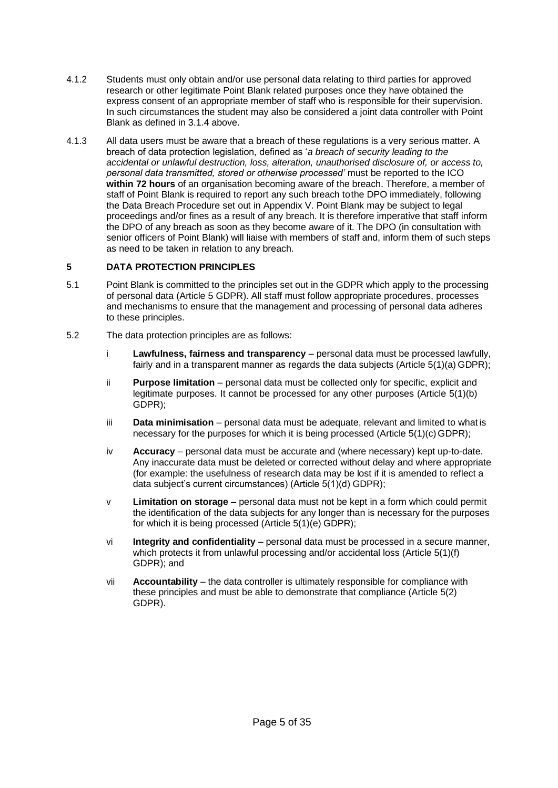- 4.1.2 Students must only obtain and/or use personal data relating to third parties for approved research or other legitimate Point Blank related purposes once they have obtained the express consent of an appropriate member of staff who is responsible for their supervision. In such circumstances the student may also be considered a joint data controller with Point Blank as defined in 3.1.4 above.
- 4.1.3 All data users must be aware that a breach of these regulations is a very serious matter. A breach of data protection legislation, defined as '*a breach of security leading to the accidental or unlawful destruction, loss, alteration, unauthorised disclosure of, or access to, personal data transmitted, stored or otherwise processed'* must be reported to the ICO **within 72 hours** of an organisation becoming aware of the breach. Therefore, a member of staff of Point Blank is required to report any such breach tothe DPO immediately, following the Data Breach Procedure set out in Appendix V. Point Blank may be subject to legal proceedings and/or fines as a result of any breach. It is therefore imperative that staff inform the DPO of any breach as soon as they become aware of it. The DPO (in consultation with senior officers of Point Blank) will liaise with members of staff and, inform them of such steps as need to be taken in relation to any breach.

#### **5 DATA PROTECTION PRINCIPLES**

- 5.1 Point Blank is committed to the principles set out in the GDPR which apply to the processing of personal data (Article 5 GDPR). All staff must follow appropriate procedures, processes and mechanisms to ensure that the management and processing of personal data adheres to these principles.
- 5.2 The data protection principles are as follows:
	- i **Lawfulness, fairness and transparency**  personal data must be processed lawfully, fairly and in a transparent manner as regards the data subjects (Article 5(1)(a) GDPR);
	- ii **Purpose limitation** personal data must be collected only for specific, explicit and legitimate purposes. It cannot be processed for any other purposes (Article 5(1)(b) GDPR);
	- iii **Data minimisation**  personal data must be adequate, relevant and limited to what is necessary for the purposes for which it is being processed (Article 5(1)(c) GDPR);
	- iv **Accuracy**  personal data must be accurate and (where necessary) kept up-to-date. Any inaccurate data must be deleted or corrected without delay and where appropriate (for example: the usefulness of research data may be lost if it is amended to reflect a data subject's current circumstances) (Article 5(1)(d) GDPR);
	- v **Limitation on storage**  personal data must not be kept in a form which could permit the identification of the data subjects for any longer than is necessary for the purposes for which it is being processed (Article 5(1)(e) GDPR);
	- vi **Integrity and confidentiality**  personal data must be processed in a secure manner, which protects it from unlawful processing and/or accidental loss (Article 5(1)(f) GDPR); and
	- vii **Accountability**  the data controller is ultimately responsible for compliance with these principles and must be able to demonstrate that compliance (Article 5(2) GDPR).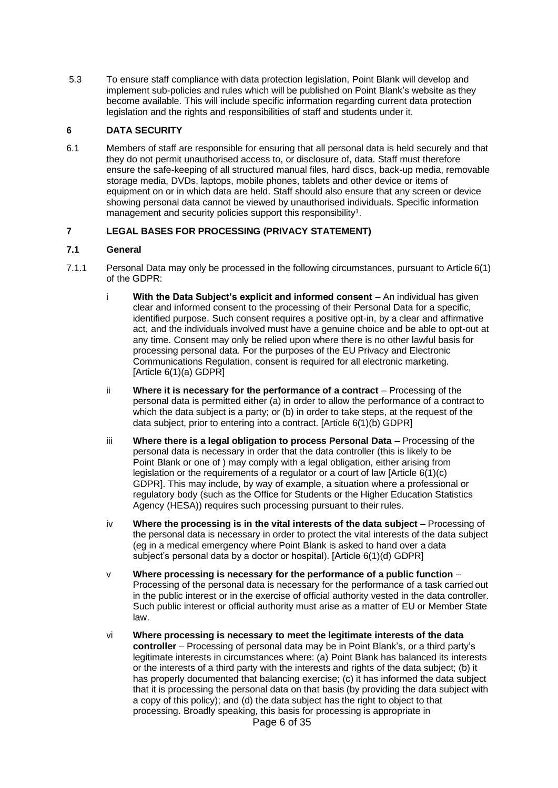5.3 To ensure staff compliance with data protection legislation, Point Blank will develop and implement sub-policies and rules which will be published on Point Blank's website as they become available. This will include specific information regarding current data protection legislation and the rights and responsibilities of staff and students under it.

# **6 DATA SECURITY**

6.1 Members of staff are responsible for ensuring that all personal data is held securely and that they do not permit unauthorised access to, or disclosure of, data. Staff must therefore ensure the safe-keeping of all structured manual files, hard discs, back-up media, removable storage media, DVDs, laptops, mobile phones, tablets and other device or items of equipment on or in which data are held. Staff should also ensure that any screen or device showing personal data cannot be viewed by unauthorised individuals. Specific information management and security policies support this responsibility<sup>1</sup>.

# **7 LEGAL BASES FOR PROCESSING (PRIVACY STATEMENT)**

#### **7.1 General**

- 7.1.1 Personal Data may only be processed in the following circumstances, pursuant to Article 6(1) of the GDPR:
	- i **With the Data Subject's explicit and informed consent**  An individual has given clear and informed consent to the processing of their Personal Data for a specific, identified purpose. Such consent requires a positive opt-in, by a clear and affirmative act, and the individuals involved must have a genuine choice and be able to opt-out at any time. Consent may only be relied upon where there is no other lawful basis for processing personal data. For the purposes of the EU Privacy and Electronic Communications Regulation, consent is required for all electronic marketing. [Article 6(1)(a) GDPR]
	- ii **Where it is necessary for the performance of a contract**  Processing of the personal data is permitted either (a) in order to allow the performance of a contract to which the data subject is a party; or (b) in order to take steps, at the request of the data subject, prior to entering into a contract. [Article 6(1)(b) GDPR]
	- iii **Where there is a legal obligation to process Personal Data**  Processing of the personal data is necessary in order that the data controller (this is likely to be Point Blank or one of ) may comply with a legal obligation, either arising from legislation or the requirements of a regulator or a court of law [Article 6(1)(c) GDPR]. This may include, by way of example, a situation where a professional or regulatory body (such as the Office for Students or the Higher Education Statistics Agency (HESA)) requires such processing pursuant to their rules.
	- iv **Where the processing is in the vital interests of the data subject**  Processing of the personal data is necessary in order to protect the vital interests of the data subject (eg in a medical emergency where Point Blank is asked to hand over a data subject's personal data by a doctor or hospital). [Article 6(1)(d) GDPR]
	- v **Where processing is necessary for the performance of a public function**  Processing of the personal data is necessary for the performance of a task carried out in the public interest or in the exercise of official authority vested in the data controller. Such public interest or official authority must arise as a matter of EU or Member State law.
	- vi **Where processing is necessary to meet the legitimate interests of the data controller** – Processing of personal data may be in Point Blank's, or a third party's legitimate interests in circumstances where: (a) Point Blank has balanced its interests or the interests of a third party with the interests and rights of the data subject; (b) it has properly documented that balancing exercise; (c) it has informed the data subject that it is processing the personal data on that basis (by providing the data subject with a copy of this policy); and (d) the data subject has the right to object to that processing. Broadly speaking, this basis for processing is appropriate in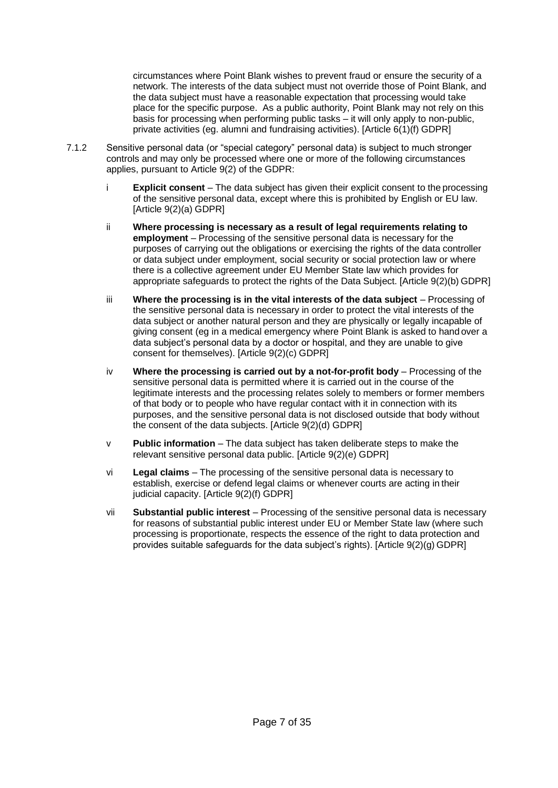circumstances where Point Blank wishes to prevent fraud or ensure the security of a network. The interests of the data subject must not override those of Point Blank, and the data subject must have a reasonable expectation that processing would take place for the specific purpose. As a public authority, Point Blank may not rely on this basis for processing when performing public tasks – it will only apply to non-public, private activities (eg. alumni and fundraising activities). [Article 6(1)(f) GDPR]

- 7.1.2 Sensitive personal data (or "special category" personal data) is subject to much stronger controls and may only be processed where one or more of the following circumstances applies, pursuant to Article 9(2) of the GDPR:
	- i **Explicit consent**  The data subject has given their explicit consent to the processing of the sensitive personal data, except where this is prohibited by English or EU law. [Article 9(2)(a) GDPR]
	- ii **Where processing is necessary as a result of legal requirements relating to employment** – Processing of the sensitive personal data is necessary for the purposes of carrying out the obligations or exercising the rights of the data controller or data subject under employment, social security or social protection law or where there is a collective agreement under EU Member State law which provides for appropriate safeguards to protect the rights of the Data Subject. [Article 9(2)(b) GDPR]
	- iii **Where the processing is in the vital interests of the data subject**  Processing of the sensitive personal data is necessary in order to protect the vital interests of the data subject or another natural person and they are physically or legally incapable of giving consent (eg in a medical emergency where Point Blank is asked to hand over a data subject's personal data by a doctor or hospital, and they are unable to give consent for themselves). [Article 9(2)(c) GDPR]
	- iv **Where the processing is carried out by a not-for-profit body**  Processing of the sensitive personal data is permitted where it is carried out in the course of the legitimate interests and the processing relates solely to members or former members of that body or to people who have regular contact with it in connection with its purposes, and the sensitive personal data is not disclosed outside that body without the consent of the data subjects. [Article 9(2)(d) GDPR]
	- v **Public information**  The data subject has taken deliberate steps to make the relevant sensitive personal data public. [Article 9(2)(e) GDPR]
	- vi **Legal claims**  The processing of the sensitive personal data is necessary to establish, exercise or defend legal claims or whenever courts are acting in their judicial capacity. [Article 9(2)(f) GDPR]
	- vii **Substantial public interest**  Processing of the sensitive personal data is necessary for reasons of substantial public interest under EU or Member State law (where such processing is proportionate, respects the essence of the right to data protection and provides suitable safeguards for the data subject's rights). [Article 9(2)(g) GDPR]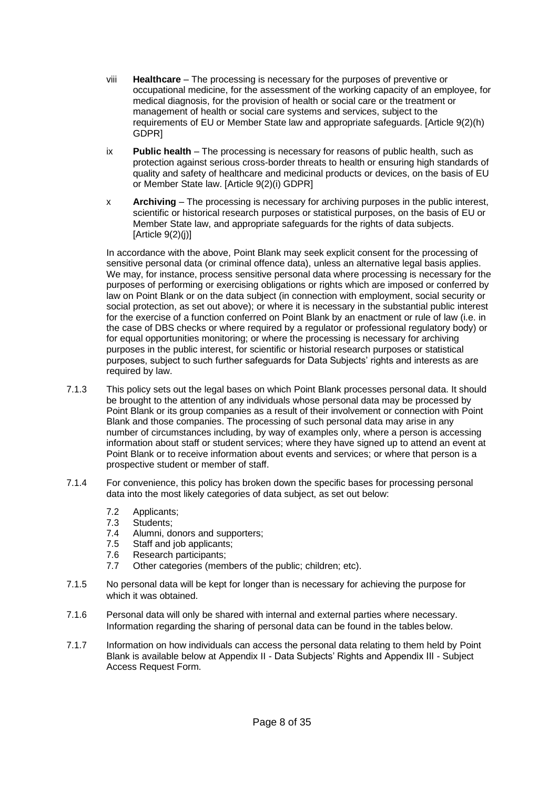- viii **Healthcare**  The processing is necessary for the purposes of preventive or occupational medicine, for the assessment of the working capacity of an employee, for medical diagnosis, for the provision of health or social care or the treatment or management of health or social care systems and services, subject to the requirements of EU or Member State law and appropriate safeguards. [Article 9(2)(h) GDPR]
- ix **Public health**  The processing is necessary for reasons of public health, such as protection against serious cross-border threats to health or ensuring high standards of quality and safety of healthcare and medicinal products or devices, on the basis of EU or Member State law. [Article 9(2)(i) GDPR]
- x **Archiving**  The processing is necessary for archiving purposes in the public interest, scientific or historical research purposes or statistical purposes, on the basis of EU or Member State law, and appropriate safeguards for the rights of data subjects. [Article  $9(2)(j)$ ]

In accordance with the above, Point Blank may seek explicit consent for the processing of sensitive personal data (or criminal offence data), unless an alternative legal basis applies. We may, for instance, process sensitive personal data where processing is necessary for the purposes of performing or exercising obligations or rights which are imposed or conferred by law on Point Blank or on the data subject (in connection with employment, social security or social protection, as set out above); or where it is necessary in the substantial public interest for the exercise of a function conferred on Point Blank by an enactment or rule of law (i.e. in the case of DBS checks or where required by a regulator or professional regulatory body) or for equal opportunities monitoring; or where the processing is necessary for archiving purposes in the public interest, for scientific or historial research purposes or statistical purposes, subject to such further safeguards for Data Subjects' rights and interests as are required by law.

- 7.1.3 This policy sets out the legal bases on which Point Blank processes personal data. It should be brought to the attention of any individuals whose personal data may be processed by Point Blank or its group companies as a result of their involvement or connection with Point Blank and those companies. The processing of such personal data may arise in any number of circumstances including, by way of examples only, where a person is accessing information about staff or student services; where they have signed up to attend an event at Point Blank or to receive information about events and services; or where that person is a prospective student or member of staff.
- 7.1.4 For convenience, this policy has broken down the specific bases for processing personal data into the most likely categories of data subject, as set out below:
	- 7.2 Applicants;
	- 7.3 Students;
	- 7.4 Alumni, donors and supporters;
	- 7.5 Staff and job applicants;
	- 7.6 Research participants;
	- 7.7 Other categories (members of the public; children; etc).
- 7.1.5 No personal data will be kept for longer than is necessary for achieving the purpose for which it was obtained.
- 7.1.6 Personal data will only be shared with internal and external parties where necessary. Information regarding the sharing of personal data can be found in the tables below.
- 7.1.7 Information on how individuals can access the personal data relating to them held by Point Blank is available below at Appendix II - Data Subjects' Rights and Appendix III - Subject Access Request Form.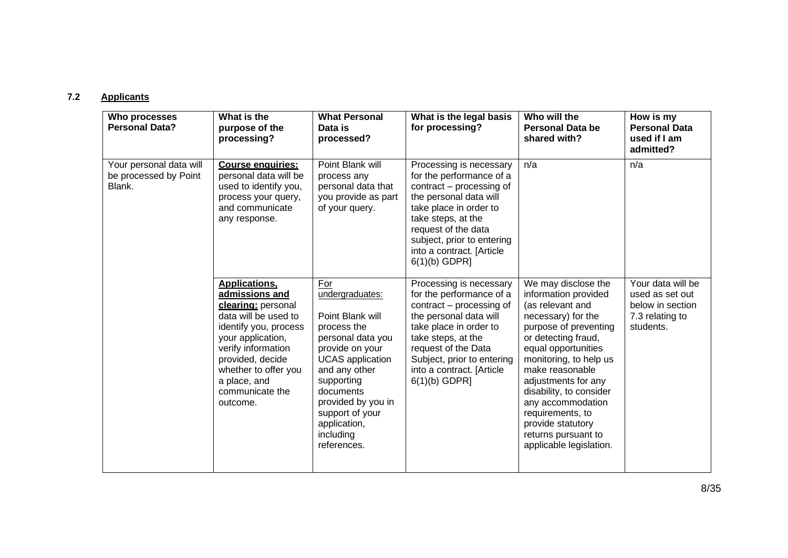# **7.2 Applicants**

| Who processes<br><b>Personal Data?</b>                     | What is the<br>purpose of the<br>processing?                                                                                                                                                                                                        | <b>What Personal</b><br>Data is<br>processed?                                                                                                                                                                                                                 | What is the legal basis<br>for processing?                                                                                                                                                                                                                     | Who will the<br><b>Personal Data be</b><br>shared with?                                                                                                                                                                                                                                                                                                                     | How is my<br><b>Personal Data</b><br>used if I am<br>admitted?                           |
|------------------------------------------------------------|-----------------------------------------------------------------------------------------------------------------------------------------------------------------------------------------------------------------------------------------------------|---------------------------------------------------------------------------------------------------------------------------------------------------------------------------------------------------------------------------------------------------------------|----------------------------------------------------------------------------------------------------------------------------------------------------------------------------------------------------------------------------------------------------------------|-----------------------------------------------------------------------------------------------------------------------------------------------------------------------------------------------------------------------------------------------------------------------------------------------------------------------------------------------------------------------------|------------------------------------------------------------------------------------------|
| Your personal data will<br>be processed by Point<br>Blank. | <b>Course enquiries:</b><br>personal data will be<br>used to identify you,<br>process your query,<br>and communicate<br>any response.                                                                                                               | Point Blank will<br>process any<br>personal data that<br>you provide as part<br>of your query.                                                                                                                                                                | Processing is necessary<br>for the performance of a<br>contract - processing of<br>the personal data will<br>take place in order to<br>take steps, at the<br>request of the data<br>subject, prior to entering<br>into a contract. [Article<br>$6(1)(b)$ GDPR] | n/a                                                                                                                                                                                                                                                                                                                                                                         | n/a                                                                                      |
|                                                            | <b>Applications.</b><br>admissions and<br>clearing: personal<br>data will be used to<br>identify you, process<br>your application,<br>verify information<br>provided, decide<br>whether to offer you<br>a place, and<br>communicate the<br>outcome. | For<br>undergraduates:<br>Point Blank will<br>process the<br>personal data you<br>provide on your<br><b>UCAS</b> application<br>and any other<br>supporting<br>documents<br>provided by you in<br>support of your<br>application,<br>including<br>references. | Processing is necessary<br>for the performance of a<br>contract – processing of<br>the personal data will<br>take place in order to<br>take steps, at the<br>request of the Data<br>Subject, prior to entering<br>into a contract. [Article<br>$6(1)(b)$ GDPR] | We may disclose the<br>information provided<br>(as relevant and<br>necessary) for the<br>purpose of preventing<br>or detecting fraud,<br>equal opportunities<br>monitoring, to help us<br>make reasonable<br>adjustments for any<br>disability, to consider<br>any accommodation<br>requirements, to<br>provide statutory<br>returns pursuant to<br>applicable legislation. | Your data will be<br>used as set out<br>below in section<br>7.3 relating to<br>students. |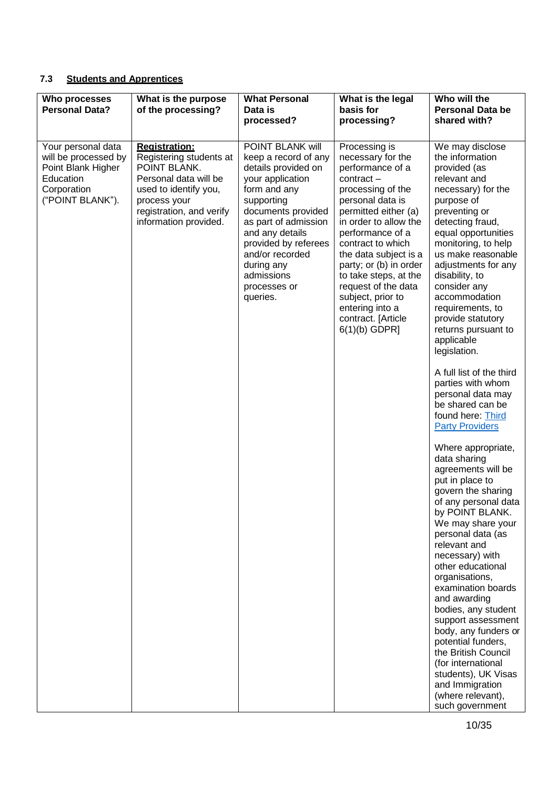# **7.3 Students and Apprentices**

| Who processes<br><b>Personal Data?</b>                                                                           | What is the purpose<br>of the processing?                                                                                                                                              | <b>What Personal</b><br>Data is<br>processed?                                                                                                                                                                                                                                         | What is the legal<br>basis for<br>processing?                                                                                                                                                                                                                                                                                                                                                 | Who will the<br><b>Personal Data be</b><br>shared with?                                                                                                                                                                                                                                                                                                                                                                                                                                                                                                                                                                                                                                                                                                                                                                                                                                                                                                                                                                                                              |
|------------------------------------------------------------------------------------------------------------------|----------------------------------------------------------------------------------------------------------------------------------------------------------------------------------------|---------------------------------------------------------------------------------------------------------------------------------------------------------------------------------------------------------------------------------------------------------------------------------------|-----------------------------------------------------------------------------------------------------------------------------------------------------------------------------------------------------------------------------------------------------------------------------------------------------------------------------------------------------------------------------------------------|----------------------------------------------------------------------------------------------------------------------------------------------------------------------------------------------------------------------------------------------------------------------------------------------------------------------------------------------------------------------------------------------------------------------------------------------------------------------------------------------------------------------------------------------------------------------------------------------------------------------------------------------------------------------------------------------------------------------------------------------------------------------------------------------------------------------------------------------------------------------------------------------------------------------------------------------------------------------------------------------------------------------------------------------------------------------|
| Your personal data<br>will be processed by<br>Point Blank Higher<br>Education<br>Corporation<br>("POINT BLANK"). | <b>Registration:</b><br>Registering students at<br>POINT BLANK.<br>Personal data will be<br>used to identify you,<br>process your<br>registration, and verify<br>information provided. | POINT BLANK will<br>keep a record of any<br>details provided on<br>your application<br>form and any<br>supporting<br>documents provided<br>as part of admission<br>and any details<br>provided by referees<br>and/or recorded<br>during any<br>admissions<br>processes or<br>queries. | Processing is<br>necessary for the<br>performance of a<br>$contract -$<br>processing of the<br>personal data is<br>permitted either (a)<br>in order to allow the<br>performance of a<br>contract to which<br>the data subject is a<br>party; or (b) in order<br>to take steps, at the<br>request of the data<br>subject, prior to<br>entering into a<br>contract. [Article<br>$6(1)(b)$ GDPR] | We may disclose<br>the information<br>provided (as<br>relevant and<br>necessary) for the<br>purpose of<br>preventing or<br>detecting fraud,<br>equal opportunities<br>monitoring, to help<br>us make reasonable<br>adjustments for any<br>disability, to<br>consider any<br>accommodation<br>requirements, to<br>provide statutory<br>returns pursuant to<br>applicable<br>legislation.<br>A full list of the third<br>parties with whom<br>personal data may<br>be shared can be<br>found here: Third<br><b>Party Providers</b><br>Where appropriate,<br>data sharing<br>agreements will be<br>put in place to<br>govern the sharing<br>of any personal data<br>by POINT BLANK.<br>We may share your<br>personal data (as<br>relevant and<br>necessary) with<br>other educational<br>organisations,<br>examination boards<br>and awarding<br>bodies, any student<br>support assessment<br>body, any funders or<br>potential funders,<br>the British Council<br>(for international<br>students), UK Visas<br>and Immigration<br>(where relevant),<br>such government |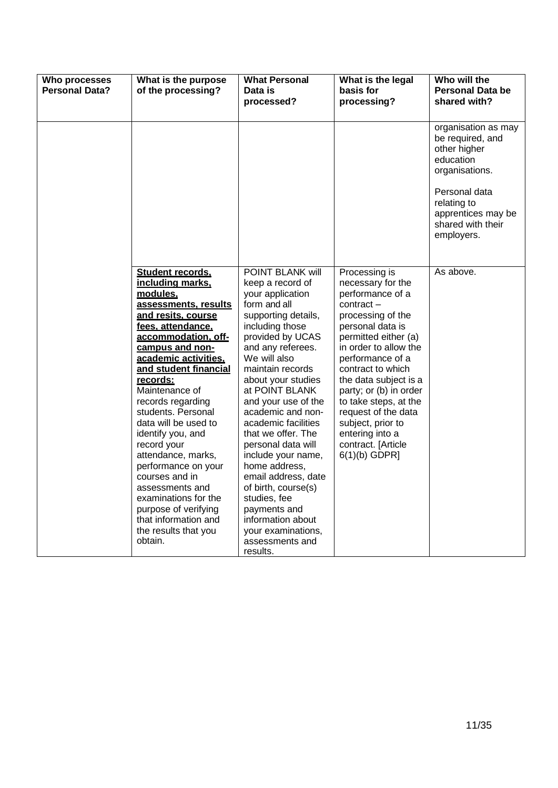| Who processes<br><b>Personal Data?</b> | What is the purpose<br>of the processing?                                                                                                                                                                                                                                                                                                                                                                                                                                                                                                        | <b>What Personal</b><br>Data is<br>processed?                                                                                                                                                                                                                                                                                                                                                                                                                                                                                                         | What is the legal<br>basis for<br>processing?                                                                                                                                                                                                                                                                                                                                              | Who will the<br>Personal Data be<br>shared with?                                                                                                                                |
|----------------------------------------|--------------------------------------------------------------------------------------------------------------------------------------------------------------------------------------------------------------------------------------------------------------------------------------------------------------------------------------------------------------------------------------------------------------------------------------------------------------------------------------------------------------------------------------------------|-------------------------------------------------------------------------------------------------------------------------------------------------------------------------------------------------------------------------------------------------------------------------------------------------------------------------------------------------------------------------------------------------------------------------------------------------------------------------------------------------------------------------------------------------------|--------------------------------------------------------------------------------------------------------------------------------------------------------------------------------------------------------------------------------------------------------------------------------------------------------------------------------------------------------------------------------------------|---------------------------------------------------------------------------------------------------------------------------------------------------------------------------------|
|                                        |                                                                                                                                                                                                                                                                                                                                                                                                                                                                                                                                                  |                                                                                                                                                                                                                                                                                                                                                                                                                                                                                                                                                       |                                                                                                                                                                                                                                                                                                                                                                                            | organisation as may<br>be required, and<br>other higher<br>education<br>organisations.<br>Personal data<br>relating to<br>apprentices may be<br>shared with their<br>employers. |
|                                        | Student records.<br>including marks.<br>modules.<br>assessments, results<br>and resits, course<br>fees, attendance,<br>accommodation, off-<br>campus and non-<br>academic activities,<br>and student financial<br>records:<br>Maintenance of<br>records regarding<br>students. Personal<br>data will be used to<br>identify you, and<br>record your<br>attendance, marks,<br>performance on your<br>courses and in<br>assessments and<br>examinations for the<br>purpose of verifying<br>that information and<br>the results that you<br>obtain. | POINT BLANK will<br>keep a record of<br>your application<br>form and all<br>supporting details,<br>including those<br>provided by UCAS<br>and any referees.<br>We will also<br>maintain records<br>about your studies<br>at POINT BLANK<br>and your use of the<br>academic and non-<br>academic facilities<br>that we offer. The<br>personal data will<br>include your name,<br>home address,<br>email address, date<br>of birth, course(s)<br>studies, fee<br>payments and<br>information about<br>your examinations,<br>assessments and<br>results. | Processing is<br>necessary for the<br>performance of a<br>contract-<br>processing of the<br>personal data is<br>permitted either (a)<br>in order to allow the<br>performance of a<br>contract to which<br>the data subject is a<br>party; or (b) in order<br>to take steps, at the<br>request of the data<br>subject, prior to<br>entering into a<br>contract. [Article<br>$6(1)(b)$ GDPR] | As above.                                                                                                                                                                       |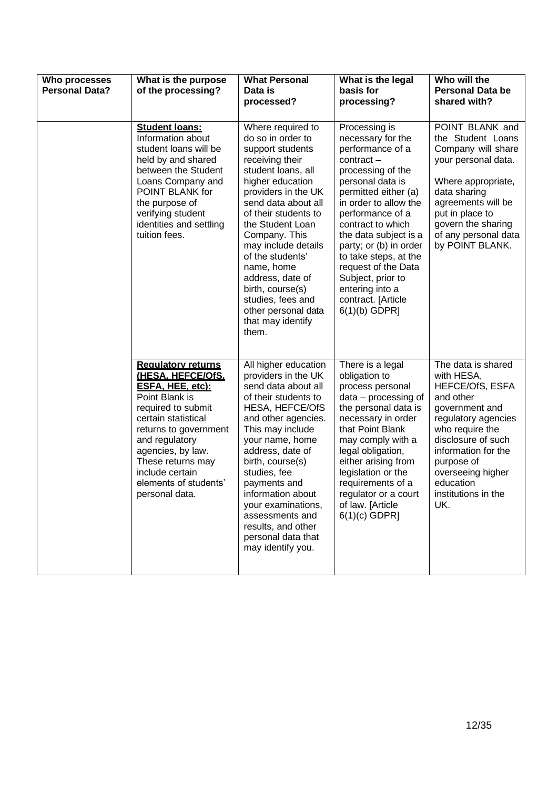| Who processes<br><b>Personal Data?</b> | What is the purpose<br>of the processing?                                                                                                                                                                                                                                            | <b>What Personal</b><br>Data is<br>processed?                                                                                                                                                                                                                                                                                                                                                                 | What is the legal<br>basis for<br>processing?                                                                                                                                                                                                                                                                                                                                                 | Who will the<br><b>Personal Data be</b><br>shared with?                                                                                                                                                                                                        |
|----------------------------------------|--------------------------------------------------------------------------------------------------------------------------------------------------------------------------------------------------------------------------------------------------------------------------------------|---------------------------------------------------------------------------------------------------------------------------------------------------------------------------------------------------------------------------------------------------------------------------------------------------------------------------------------------------------------------------------------------------------------|-----------------------------------------------------------------------------------------------------------------------------------------------------------------------------------------------------------------------------------------------------------------------------------------------------------------------------------------------------------------------------------------------|----------------------------------------------------------------------------------------------------------------------------------------------------------------------------------------------------------------------------------------------------------------|
|                                        | <b>Student loans:</b><br>Information about<br>student loans will be<br>held by and shared<br>between the Student<br>Loans Company and<br>POINT BLANK for<br>the purpose of<br>verifying student<br>identities and settling<br>tuition fees.                                          | Where required to<br>do so in order to<br>support students<br>receiving their<br>student loans, all<br>higher education<br>providers in the UK<br>send data about all<br>of their students to<br>the Student Loan<br>Company. This<br>may include details<br>of the students'<br>name, home<br>address, date of<br>birth, course(s)<br>studies, fees and<br>other personal data<br>that may identify<br>them. | Processing is<br>necessary for the<br>performance of a<br>$contract -$<br>processing of the<br>personal data is<br>permitted either (a)<br>in order to allow the<br>performance of a<br>contract to which<br>the data subject is a<br>party; or (b) in order<br>to take steps, at the<br>request of the Data<br>Subject, prior to<br>entering into a<br>contract. [Article<br>$6(1)(b)$ GDPR] | POINT BLANK and<br>the Student Loans<br>Company will share<br>your personal data.<br>Where appropriate,<br>data sharing<br>agreements will be<br>put in place to<br>govern the sharing<br>of any personal data<br>by POINT BLANK.                              |
|                                        | <b>Requlatory returns</b><br>(HESA, HEFCE/OfS,<br>ESFA, HEE, etc):<br>Point Blank is<br>required to submit<br>certain statistical<br>returns to government<br>and regulatory<br>agencies, by law.<br>These returns may<br>include certain<br>elements of students'<br>personal data. | All higher education<br>providers in the UK<br>send data about all<br>of their students to<br><b>HESA, HEFCE/OfS</b><br>and other agencies.<br>This may include<br>your name, home<br>address, date of<br>birth, course(s)<br>studies, fee<br>payments and<br>information about<br>your examinations,<br>assessments and<br>results, and other<br>personal data that<br>may identify you.                     | There is a legal<br>obligation to<br>process personal<br>$data - processing of$<br>the personal data is<br>necessary in order<br>that Point Blank<br>may comply with a<br>legal obligation,<br>either arising from<br>legislation or the<br>requirements of a<br>regulator or a court<br>of law. [Article<br>$6(1)(c)$ GDPR]                                                                  | The data is shared<br>with HESA,<br><b>HEFCE/OfS, ESFA</b><br>and other<br>government and<br>regulatory agencies<br>who require the<br>disclosure of such<br>information for the<br>purpose of<br>overseeing higher<br>education<br>institutions in the<br>UK. |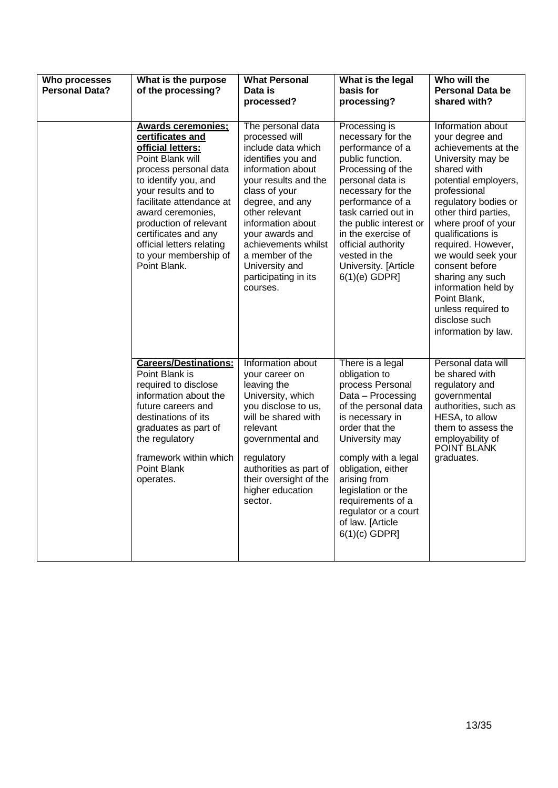| Who processes<br><b>Personal Data?</b> | What is the purpose<br>of the processing?                                                                                                                                                                                                                                                                                               | <b>What Personal</b><br>Data is<br>processed?                                                                                                                                                                                                                                                                              | What is the legal<br>basis for<br>processing?                                                                                                                                                                                                                                                                                    | Who will the<br><b>Personal Data be</b><br>shared with?                                                                                                                                                                                                                                                                                                                                                                    |
|----------------------------------------|-----------------------------------------------------------------------------------------------------------------------------------------------------------------------------------------------------------------------------------------------------------------------------------------------------------------------------------------|----------------------------------------------------------------------------------------------------------------------------------------------------------------------------------------------------------------------------------------------------------------------------------------------------------------------------|----------------------------------------------------------------------------------------------------------------------------------------------------------------------------------------------------------------------------------------------------------------------------------------------------------------------------------|----------------------------------------------------------------------------------------------------------------------------------------------------------------------------------------------------------------------------------------------------------------------------------------------------------------------------------------------------------------------------------------------------------------------------|
|                                        | <b>Awards ceremonies:</b><br>certificates and<br>official letters:<br>Point Blank will<br>process personal data<br>to identify you, and<br>your results and to<br>facilitate attendance at<br>award ceremonies,<br>production of relevant<br>certificates and any<br>official letters relating<br>to your membership of<br>Point Blank. | The personal data<br>processed will<br>include data which<br>identifies you and<br>information about<br>your results and the<br>class of your<br>degree, and any<br>other relevant<br>information about<br>your awards and<br>achievements whilst<br>a member of the<br>University and<br>participating in its<br>courses. | Processing is<br>necessary for the<br>performance of a<br>public function.<br>Processing of the<br>personal data is<br>necessary for the<br>performance of a<br>task carried out in<br>the public interest or<br>in the exercise of<br>official authority<br>vested in the<br>University. [Article<br>$6(1)(e)$ GDPR]            | Information about<br>your degree and<br>achievements at the<br>University may be<br>shared with<br>potential employers,<br>professional<br>regulatory bodies or<br>other third parties,<br>where proof of your<br>qualifications is<br>required. However,<br>we would seek your<br>consent before<br>sharing any such<br>information held by<br>Point Blank,<br>unless required to<br>disclose such<br>information by law. |
|                                        | <b>Careers/Destinations:</b><br>Point Blank is<br>required to disclose<br>information about the<br>future careers and<br>destinations of its<br>graduates as part of<br>the regulatory<br>framework within which<br>Point Blank<br>operates.                                                                                            | Information about<br>your career on<br>leaving the<br>University, which<br>you disclose to us,<br>will be shared with<br>relevant<br>governmental and<br>regulatory<br>authorities as part of<br>their oversight of the<br>higher education<br>sector.                                                                     | There is a legal<br>obligation to<br>process Personal<br>Data - Processing<br>of the personal data<br>is necessary in<br>order that the<br>University may<br>comply with a legal<br>obligation, either<br>arising from<br>legislation or the<br>requirements of a<br>regulator or a court<br>of law. [Article<br>$6(1)(c)$ GDPR] | Personal data will<br>be shared with<br>regulatory and<br>governmental<br>authorities, such as<br>HESA, to allow<br>them to assess the<br>employability of<br><b>POINT BLANK</b><br>graduates.                                                                                                                                                                                                                             |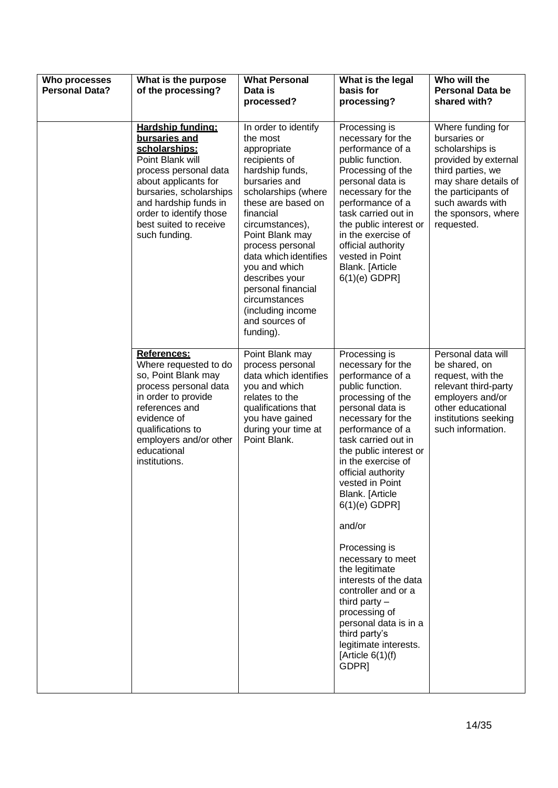| <b>Who processes</b><br><b>Personal Data?</b> | What is the purpose<br>of the processing?                                                                                                                                                                                                          | <b>What Personal</b><br>Data is<br>processed?                                                                                                                                                                                                                                                                                                                                   | What is the legal<br>basis for<br>processing?                                                                                                                                                                                                                                                                                                                                                                                                                                                                                                                              | Who will the<br><b>Personal Data be</b><br>shared with?                                                                                                                                                   |
|-----------------------------------------------|----------------------------------------------------------------------------------------------------------------------------------------------------------------------------------------------------------------------------------------------------|---------------------------------------------------------------------------------------------------------------------------------------------------------------------------------------------------------------------------------------------------------------------------------------------------------------------------------------------------------------------------------|----------------------------------------------------------------------------------------------------------------------------------------------------------------------------------------------------------------------------------------------------------------------------------------------------------------------------------------------------------------------------------------------------------------------------------------------------------------------------------------------------------------------------------------------------------------------------|-----------------------------------------------------------------------------------------------------------------------------------------------------------------------------------------------------------|
|                                               | Hardship funding:<br>bursaries and<br>scholarships:<br>Point Blank will<br>process personal data<br>about applicants for<br>bursaries, scholarships<br>and hardship funds in<br>order to identify those<br>best suited to receive<br>such funding. | In order to identify<br>the most<br>appropriate<br>recipients of<br>hardship funds,<br>bursaries and<br>scholarships (where<br>these are based on<br>financial<br>circumstances),<br>Point Blank may<br>process personal<br>data which identifies<br>you and which<br>describes your<br>personal financial<br>circumstances<br>(including income<br>and sources of<br>funding). | Processing is<br>necessary for the<br>performance of a<br>public function.<br>Processing of the<br>personal data is<br>necessary for the<br>performance of a<br>task carried out in<br>the public interest or<br>in the exercise of<br>official authority<br>vested in Point<br>Blank. [Article<br>$6(1)(e)$ GDPR]                                                                                                                                                                                                                                                         | Where funding for<br>bursaries or<br>scholarships is<br>provided by external<br>third parties, we<br>may share details of<br>the participants of<br>such awards with<br>the sponsors, where<br>requested. |
|                                               | References:<br>Where requested to do<br>so, Point Blank may<br>process personal data<br>in order to provide<br>references and<br>evidence of<br>qualifications to<br>employers and/or other<br>educational<br>institutions.                        | Point Blank may<br>process personal<br>data which identifies<br>you and which<br>relates to the<br>qualifications that<br>you have gained<br>during your time at<br>Point Blank.                                                                                                                                                                                                | Processing is<br>necessary for the<br>performance of a<br>public function.<br>processing of the<br>personal data is<br>necessary for the<br>performance of a<br>task carried out in<br>the public interest or<br>in the exercise of<br>official authority<br>vested in Point<br>Blank. [Article<br>$6(1)(e)$ GDPR]<br>and/or<br>Processing is<br>necessary to meet<br>the legitimate<br>interests of the data<br>controller and or a<br>third party $-$<br>processing of<br>personal data is in a<br>third party's<br>legitimate interests.<br>[Article $6(1)(f)$<br>GDPR] | Personal data will<br>be shared, on<br>request, with the<br>relevant third-party<br>employers and/or<br>other educational<br>institutions seeking<br>such information.                                    |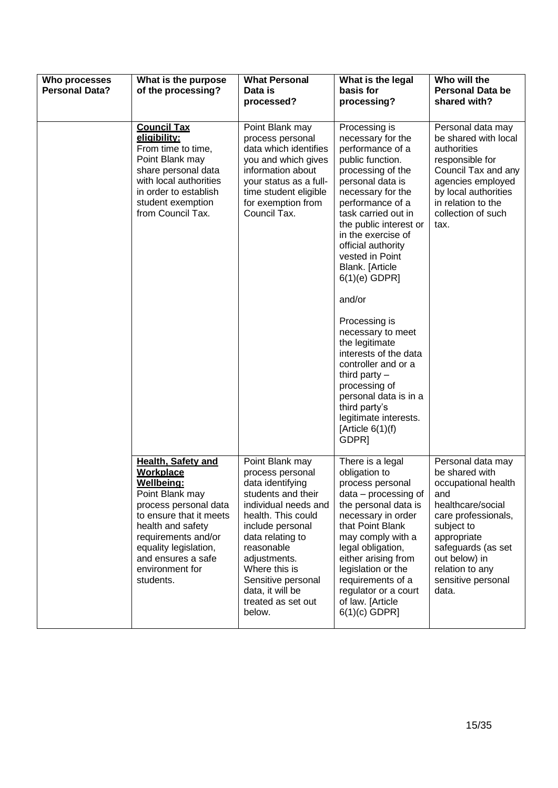| Who processes<br><b>Personal Data?</b> | What is the purpose<br>of the processing?                                                                                                                                                                                                                     | <b>What Personal</b><br>Data is<br>processed?                                                                                                                                                                                                                                                | What is the legal<br>basis for<br>processing?                                                                                                                                                                                                                                                                                                                                                                                                                                                                                                                                          | Who will the<br><b>Personal Data be</b><br>shared with?                                                                                                                                                                             |
|----------------------------------------|---------------------------------------------------------------------------------------------------------------------------------------------------------------------------------------------------------------------------------------------------------------|----------------------------------------------------------------------------------------------------------------------------------------------------------------------------------------------------------------------------------------------------------------------------------------------|----------------------------------------------------------------------------------------------------------------------------------------------------------------------------------------------------------------------------------------------------------------------------------------------------------------------------------------------------------------------------------------------------------------------------------------------------------------------------------------------------------------------------------------------------------------------------------------|-------------------------------------------------------------------------------------------------------------------------------------------------------------------------------------------------------------------------------------|
|                                        | <b>Council Tax</b><br>eligibility:<br>From time to time,<br>Point Blank may<br>share personal data<br>with local authorities<br>in order to establish<br>student exemption<br>from Council Tax.                                                               | Point Blank may<br>process personal<br>data which identifies<br>you and which gives<br>information about<br>your status as a full-<br>time student eligible<br>for exemption from<br>Council Tax.                                                                                            | Processing is<br>necessary for the<br>performance of a<br>public function.<br>processing of the<br>personal data is<br>necessary for the<br>performance of a<br>task carried out in<br>the public interest or<br>in the exercise of<br>official authority<br>vested in Point<br>Blank. [Article<br>$6(1)(e)$ GDPR]<br>and/or<br>Processing is<br>necessary to meet<br>the legitimate<br>interests of the data<br>controller and or a<br>third party $-$<br>processing of<br>personal data is in a<br>third party's<br>legitimate interests.<br>[Article $6(1)(f)$<br>GDPR <sub>1</sub> | Personal data may<br>be shared with local<br>authorities<br>responsible for<br>Council Tax and any<br>agencies employed<br>by local authorities<br>in relation to the<br>collection of such<br>tax.                                 |
|                                        | <b>Health, Safety and</b><br><b>Workplace</b><br>Wellbeing:<br>Point Blank may<br>process personal data<br>to ensure that it meets<br>health and safety<br>requirements and/or<br>equality legislation,<br>and ensures a safe<br>environment for<br>students. | Point Blank may<br>process personal<br>data identifying<br>students and their<br>individual needs and<br>health. This could<br>include personal<br>data relating to<br>reasonable<br>adjustments.<br>Where this is<br>Sensitive personal<br>data, it will be<br>treated as set out<br>below. | There is a legal<br>obligation to<br>process personal<br>$data - processing of$<br>the personal data is<br>necessary in order<br>that Point Blank<br>may comply with a<br>legal obligation,<br>either arising from<br>legislation or the<br>requirements of a<br>regulator or a court<br>of law. [Article<br>$6(1)(c)$ GDPR]                                                                                                                                                                                                                                                           | Personal data may<br>be shared with<br>occupational health<br>and<br>healthcare/social<br>care professionals,<br>subject to<br>appropriate<br>safeguards (as set<br>out below) in<br>relation to any<br>sensitive personal<br>data. |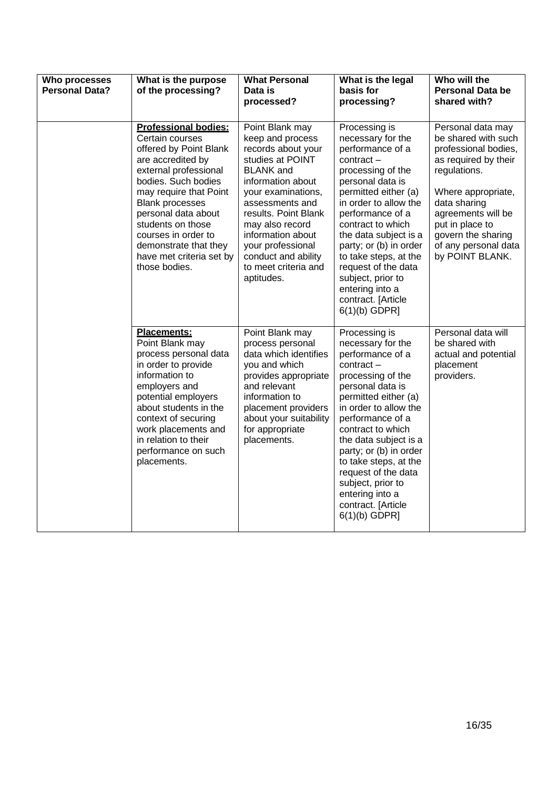| Who processes<br><b>Personal Data?</b> | What is the purpose<br>of the processing?                                                                                                                                                                                                                                                                                                  | <b>What Personal</b><br>Data is<br>processed?                                                                                                                                                                                                                                                                     | What is the legal<br>basis for<br>processing?                                                                                                                                                                                                                                                                                                                                                 | Who will the<br><b>Personal Data be</b><br>shared with?                                                                                                                                                                                                  |
|----------------------------------------|--------------------------------------------------------------------------------------------------------------------------------------------------------------------------------------------------------------------------------------------------------------------------------------------------------------------------------------------|-------------------------------------------------------------------------------------------------------------------------------------------------------------------------------------------------------------------------------------------------------------------------------------------------------------------|-----------------------------------------------------------------------------------------------------------------------------------------------------------------------------------------------------------------------------------------------------------------------------------------------------------------------------------------------------------------------------------------------|----------------------------------------------------------------------------------------------------------------------------------------------------------------------------------------------------------------------------------------------------------|
|                                        | <b>Professional bodies:</b><br>Certain courses<br>offered by Point Blank<br>are accredited by<br>external professional<br>bodies. Such bodies<br>may require that Point<br><b>Blank processes</b><br>personal data about<br>students on those<br>courses in order to<br>demonstrate that they<br>have met criteria set by<br>those bodies. | Point Blank may<br>keep and process<br>records about your<br>studies at POINT<br><b>BLANK</b> and<br>information about<br>your examinations,<br>assessments and<br>results. Point Blank<br>may also record<br>information about<br>your professional<br>conduct and ability<br>to meet criteria and<br>aptitudes. | Processing is<br>necessary for the<br>performance of a<br>$contract -$<br>processing of the<br>personal data is<br>permitted either (a)<br>in order to allow the<br>performance of a<br>contract to which<br>the data subject is a<br>party; or (b) in order<br>to take steps, at the<br>request of the data<br>subject, prior to<br>entering into a<br>contract. [Article<br>$6(1)(b)$ GDPR] | Personal data may<br>be shared with such<br>professional bodies,<br>as required by their<br>regulations.<br>Where appropriate,<br>data sharing<br>agreements will be<br>put in place to<br>govern the sharing<br>of any personal data<br>by POINT BLANK. |
|                                        | Placements:<br>Point Blank may<br>process personal data<br>in order to provide<br>information to<br>employers and<br>potential employers<br>about students in the<br>context of securing<br>work placements and<br>in relation to their<br>performance on such<br>placements.                                                              | Point Blank may<br>process personal<br>data which identifies<br>you and which<br>provides appropriate<br>and relevant<br>information to<br>placement providers<br>about your suitability<br>for appropriate<br>placements.                                                                                        | Processing is<br>necessary for the<br>performance of a<br>$contract -$<br>processing of the<br>personal data is<br>permitted either (a)<br>in order to allow the<br>performance of a<br>contract to which<br>the data subject is a<br>party; or (b) in order<br>to take steps, at the<br>request of the data<br>subject, prior to<br>entering into a<br>contract. [Article<br>$6(1)(b)$ GDPR] | Personal data will<br>be shared with<br>actual and potential<br>placement<br>providers.                                                                                                                                                                  |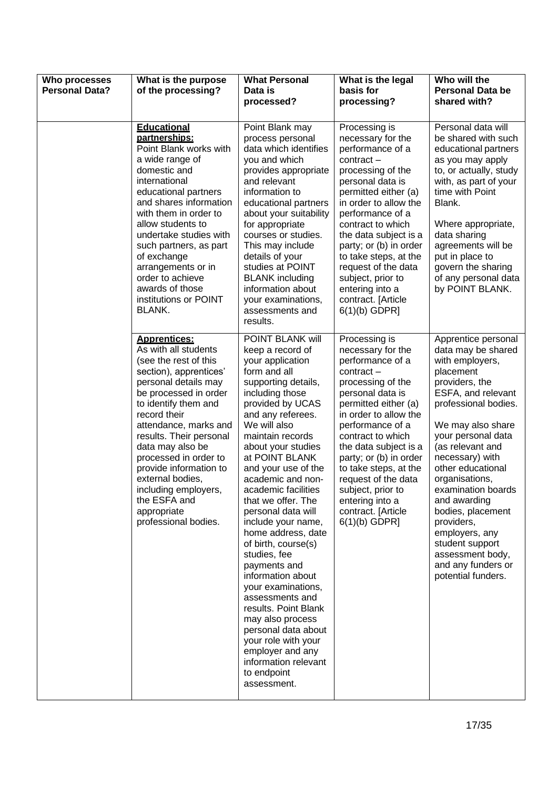| Who processes<br><b>Personal Data?</b> | What is the purpose<br>of the processing?                                                                                                                                                                                                                                                                                                                                                                             | <b>What Personal</b><br>Data is<br>processed?                                                                                                                                                                                                                                                                                                                                                                                                                                                                                                                                                                                                                                               | What is the legal<br>basis for<br>processing?                                                                                                                                                                                                                                                                                                                                                 | Who will the<br><b>Personal Data be</b><br>shared with?                                                                                                                                                                                                                                                                                                                                                                                          |
|----------------------------------------|-----------------------------------------------------------------------------------------------------------------------------------------------------------------------------------------------------------------------------------------------------------------------------------------------------------------------------------------------------------------------------------------------------------------------|---------------------------------------------------------------------------------------------------------------------------------------------------------------------------------------------------------------------------------------------------------------------------------------------------------------------------------------------------------------------------------------------------------------------------------------------------------------------------------------------------------------------------------------------------------------------------------------------------------------------------------------------------------------------------------------------|-----------------------------------------------------------------------------------------------------------------------------------------------------------------------------------------------------------------------------------------------------------------------------------------------------------------------------------------------------------------------------------------------|--------------------------------------------------------------------------------------------------------------------------------------------------------------------------------------------------------------------------------------------------------------------------------------------------------------------------------------------------------------------------------------------------------------------------------------------------|
|                                        | Educational<br>partnerships:<br>Point Blank works with<br>a wide range of<br>domestic and<br>international<br>educational partners<br>and shares information<br>with them in order to<br>allow students to<br>undertake studies with<br>such partners, as part<br>of exchange<br>arrangements or in<br>order to achieve<br>awards of those<br>institutions or POINT<br><b>BLANK.</b>                                  | Point Blank may<br>process personal<br>data which identifies<br>you and which<br>provides appropriate<br>and relevant<br>information to<br>educational partners<br>about your suitability<br>for appropriate<br>courses or studies.<br>This may include<br>details of your<br>studies at POINT<br><b>BLANK</b> including<br>information about<br>your examinations,<br>assessments and<br>results.                                                                                                                                                                                                                                                                                          | Processing is<br>necessary for the<br>performance of a<br>$contract -$<br>processing of the<br>personal data is<br>permitted either (a)<br>in order to allow the<br>performance of a<br>contract to which<br>the data subject is a<br>party; or (b) in order<br>to take steps, at the<br>request of the data<br>subject, prior to<br>entering into a<br>contract. [Article<br>$6(1)(b)$ GDPR] | Personal data will<br>be shared with such<br>educational partners<br>as you may apply<br>to, or actually, study<br>with, as part of your<br>time with Point<br>Blank.<br>Where appropriate,<br>data sharing<br>agreements will be<br>put in place to<br>govern the sharing<br>of any personal data<br>by POINT BLANK.                                                                                                                            |
|                                        | <b>Apprentices:</b><br>As with all students<br>(see the rest of this<br>section), apprentices'<br>personal details may<br>be processed in order<br>to identify them and<br>record their<br>attendance, marks and<br>results. Their personal<br>data may also be<br>processed in order to<br>provide information to<br>external bodies,<br>including employers,<br>the ESFA and<br>appropriate<br>professional bodies. | POINT BLANK will<br>keep a record of<br>your application<br>form and all<br>supporting details,<br>including those<br>provided by UCAS<br>and any referees.<br>We will also<br>maintain records<br>about your studies<br>at POINT BLANK<br>and your use of the<br>academic and non-<br>academic facilities<br>that we offer. The<br>personal data will<br>include your name,<br>home address, date<br>of birth, course(s)<br>studies, fee<br>payments and<br>information about<br>your examinations,<br>assessments and<br>results. Point Blank<br>may also process<br>personal data about<br>your role with your<br>employer and any<br>information relevant<br>to endpoint<br>assessment. | Processing is<br>necessary for the<br>performance of a<br>$contract -$<br>processing of the<br>personal data is<br>permitted either (a)<br>in order to allow the<br>performance of a<br>contract to which<br>the data subject is a<br>party; or (b) in order<br>to take steps, at the<br>request of the data<br>subject, prior to<br>entering into a<br>contract. [Article<br>$6(1)(b)$ GDPR] | Apprentice personal<br>data may be shared<br>with employers,<br>placement<br>providers, the<br>ESFA, and relevant<br>professional bodies.<br>We may also share<br>your personal data<br>(as relevant and<br>necessary) with<br>other educational<br>organisations,<br>examination boards<br>and awarding<br>bodies, placement<br>providers,<br>employers, any<br>student support<br>assessment body,<br>and any funders or<br>potential funders. |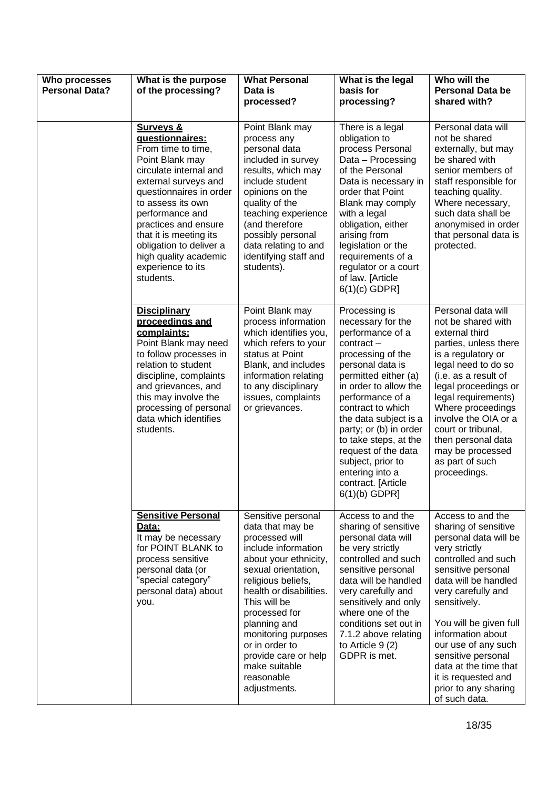| Who processes<br><b>Personal Data?</b> | What is the purpose<br>of the processing?                                                                                                                                                                                                                                                                                                     | <b>What Personal</b><br>Data is<br>processed?                                                                                                                                                                                                                                                                                                     | What is the legal<br>basis for<br>processing?                                                                                                                                                                                                                                                                                                                                                 | Who will the<br><b>Personal Data be</b><br>shared with?                                                                                                                                                                                                                                                                                                                             |
|----------------------------------------|-----------------------------------------------------------------------------------------------------------------------------------------------------------------------------------------------------------------------------------------------------------------------------------------------------------------------------------------------|---------------------------------------------------------------------------------------------------------------------------------------------------------------------------------------------------------------------------------------------------------------------------------------------------------------------------------------------------|-----------------------------------------------------------------------------------------------------------------------------------------------------------------------------------------------------------------------------------------------------------------------------------------------------------------------------------------------------------------------------------------------|-------------------------------------------------------------------------------------------------------------------------------------------------------------------------------------------------------------------------------------------------------------------------------------------------------------------------------------------------------------------------------------|
|                                        | <b>Surveys &amp;</b><br>questionnaires:<br>From time to time,<br>Point Blank may<br>circulate internal and<br>external surveys and<br>questionnaires in order<br>to assess its own<br>performance and<br>practices and ensure<br>that it is meeting its<br>obligation to deliver a<br>high quality academic<br>experience to its<br>students. | Point Blank may<br>process any<br>personal data<br>included in survey<br>results, which may<br>include student<br>opinions on the<br>quality of the<br>teaching experience<br>(and therefore<br>possibly personal<br>data relating to and<br>identifying staff and<br>students).                                                                  | There is a legal<br>obligation to<br>process Personal<br>Data - Processing<br>of the Personal<br>Data is necessary in<br>order that Point<br>Blank may comply<br>with a legal<br>obligation, either<br>arising from<br>legislation or the<br>requirements of a<br>regulator or a court<br>of law. [Article<br>$6(1)(c)$ GDPR]                                                                 | Personal data will<br>not be shared<br>externally, but may<br>be shared with<br>senior members of<br>staff responsible for<br>teaching quality.<br>Where necessary,<br>such data shall be<br>anonymised in order<br>that personal data is<br>protected.                                                                                                                             |
|                                        | <b>Disciplinary</b><br>proceedings and<br>complaints:<br>Point Blank may need<br>to follow processes in<br>relation to student<br>discipline, complaints<br>and grievances, and<br>this may involve the<br>processing of personal<br>data which identifies<br>students.                                                                       | Point Blank may<br>process information<br>which identifies you,<br>which refers to your<br>status at Point<br>Blank, and includes<br>information relating<br>to any disciplinary<br>issues, complaints<br>or grievances.                                                                                                                          | Processing is<br>necessary for the<br>performance of a<br>$contract -$<br>processing of the<br>personal data is<br>permitted either (a)<br>in order to allow the<br>performance of a<br>contract to which<br>the data subject is a<br>party; or (b) in order<br>to take steps, at the<br>request of the data<br>subject, prior to<br>entering into a<br>contract. [Article<br>$6(1)(b)$ GDPR] | Personal data will<br>not be shared with<br>external third<br>parties, unless there<br>is a regulatory or<br>legal need to do so<br>(i.e. as a result of<br>legal proceedings or<br>legal requirements)<br>Where proceedings<br>involve the OIA or a<br>court or tribunal,<br>then personal data<br>may be processed<br>as part of such<br>proceedings.                             |
|                                        | <b>Sensitive Personal</b><br><u>Data:</u><br>It may be necessary<br>for POINT BLANK to<br>process sensitive<br>personal data (or<br>"special category"<br>personal data) about<br>you.                                                                                                                                                        | Sensitive personal<br>data that may be<br>processed will<br>include information<br>about your ethnicity,<br>sexual orientation,<br>religious beliefs,<br>health or disabilities.<br>This will be<br>processed for<br>planning and<br>monitoring purposes<br>or in order to<br>provide care or help<br>make suitable<br>reasonable<br>adjustments. | Access to and the<br>sharing of sensitive<br>personal data will<br>be very strictly<br>controlled and such<br>sensitive personal<br>data will be handled<br>very carefully and<br>sensitively and only<br>where one of the<br>conditions set out in<br>7.1.2 above relating<br>to Article $9(2)$<br>GDPR is met.                                                                              | Access to and the<br>sharing of sensitive<br>personal data will be<br>very strictly<br>controlled and such<br>sensitive personal<br>data will be handled<br>very carefully and<br>sensitively.<br>You will be given full<br>information about<br>our use of any such<br>sensitive personal<br>data at the time that<br>it is requested and<br>prior to any sharing<br>of such data. |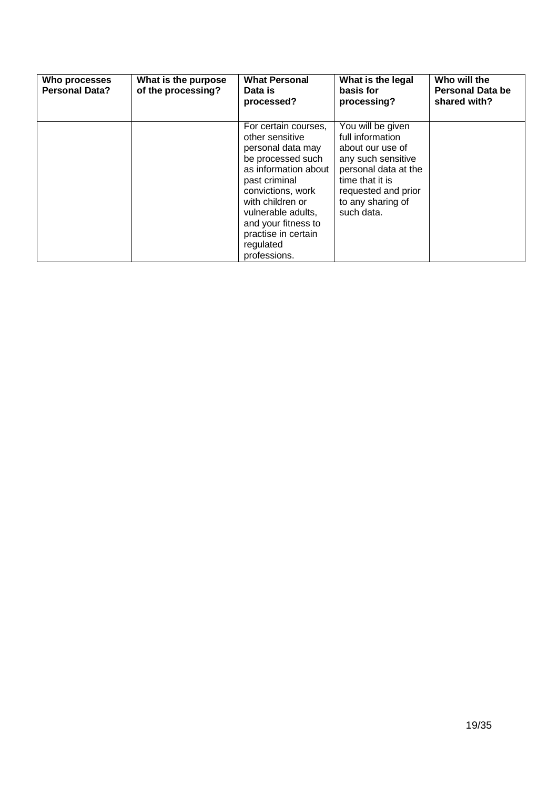| Who processes<br><b>Personal Data?</b> | What is the purpose<br>of the processing? | <b>What Personal</b><br>Data is<br>processed?                                                                                                                                                                                                                        | What is the legal<br>basis for<br>processing?                                                                                                                                        | Who will the<br><b>Personal Data be</b><br>shared with? |
|----------------------------------------|-------------------------------------------|----------------------------------------------------------------------------------------------------------------------------------------------------------------------------------------------------------------------------------------------------------------------|--------------------------------------------------------------------------------------------------------------------------------------------------------------------------------------|---------------------------------------------------------|
|                                        |                                           | For certain courses,<br>other sensitive<br>personal data may<br>be processed such<br>as information about<br>past criminal<br>convictions, work<br>with children or<br>vulnerable adults.<br>and your fitness to<br>practise in certain<br>regulated<br>professions. | You will be given<br>full information<br>about our use of<br>any such sensitive<br>personal data at the<br>time that it is<br>requested and prior<br>to any sharing of<br>such data. |                                                         |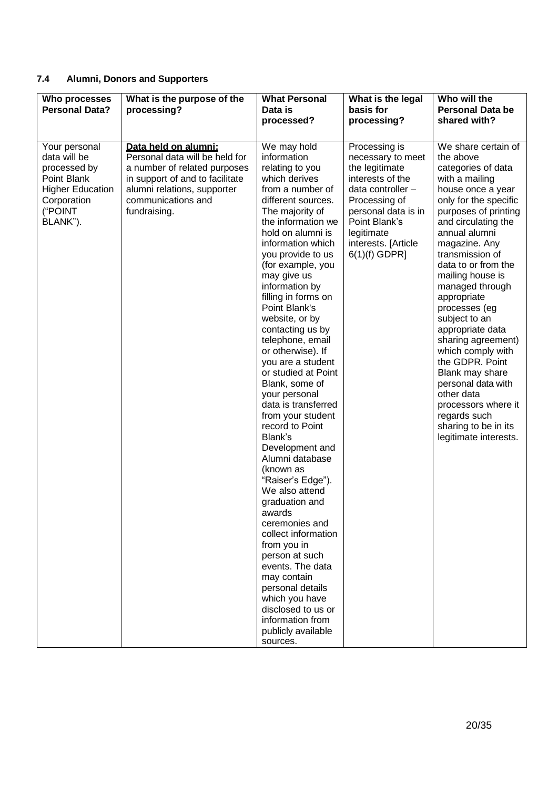# **7.4 Alumni, Donors and Supporters**

| Who processes<br><b>Personal Data?</b>                                                                                        | What is the purpose of the<br>processing?                                                                                                                                                      | <b>What Personal</b><br>Data is<br>processed?                                                                                                                                                                                                                                                                                                                                                                                                                                                                                                                                                                                                                                                                                                                                                                                                                                                               | What is the legal<br>basis for<br>processing?                                                                                                                                                                  | Who will the<br><b>Personal Data be</b><br>shared with?                                                                                                                                                                                                                                                                                                                                                                                                                                                                                                                    |
|-------------------------------------------------------------------------------------------------------------------------------|------------------------------------------------------------------------------------------------------------------------------------------------------------------------------------------------|-------------------------------------------------------------------------------------------------------------------------------------------------------------------------------------------------------------------------------------------------------------------------------------------------------------------------------------------------------------------------------------------------------------------------------------------------------------------------------------------------------------------------------------------------------------------------------------------------------------------------------------------------------------------------------------------------------------------------------------------------------------------------------------------------------------------------------------------------------------------------------------------------------------|----------------------------------------------------------------------------------------------------------------------------------------------------------------------------------------------------------------|----------------------------------------------------------------------------------------------------------------------------------------------------------------------------------------------------------------------------------------------------------------------------------------------------------------------------------------------------------------------------------------------------------------------------------------------------------------------------------------------------------------------------------------------------------------------------|
| Your personal<br>data will be<br>processed by<br>Point Blank<br><b>Higher Education</b><br>Corporation<br>("POINT<br>BLANK"). | Data held on alumni:<br>Personal data will be held for<br>a number of related purposes<br>in support of and to facilitate<br>alumni relations, supporter<br>communications and<br>fundraising. | We may hold<br>information<br>relating to you<br>which derives<br>from a number of<br>different sources.<br>The majority of<br>the information we<br>hold on alumni is<br>information which<br>you provide to us<br>(for example, you<br>may give us<br>information by<br>filling in forms on<br>Point Blank's<br>website, or by<br>contacting us by<br>telephone, email<br>or otherwise). If<br>you are a student<br>or studied at Point<br>Blank, some of<br>your personal<br>data is transferred<br>from your student<br>record to Point<br>Blank's<br>Development and<br>Alumni database<br>(known as<br>"Raiser's Edge").<br>We also attend<br>graduation and<br>awards<br>ceremonies and<br>collect information<br>from you in<br>person at such<br>events. The data<br>may contain<br>personal details<br>which you have<br>disclosed to us or<br>information from<br>publicly available<br>sources. | Processing is<br>necessary to meet<br>the legitimate<br>interests of the<br>data controller -<br>Processing of<br>personal data is in<br>Point Blank's<br>legitimate<br>interests. [Article<br>$6(1)(f)$ GDPR] | We share certain of<br>the above<br>categories of data<br>with a mailing<br>house once a year<br>only for the specific<br>purposes of printing<br>and circulating the<br>annual alumni<br>magazine. Any<br>transmission of<br>data to or from the<br>mailing house is<br>managed through<br>appropriate<br>processes (eg<br>subject to an<br>appropriate data<br>sharing agreement)<br>which comply with<br>the GDPR. Point<br>Blank may share<br>personal data with<br>other data<br>processors where it<br>regards such<br>sharing to be in its<br>legitimate interests. |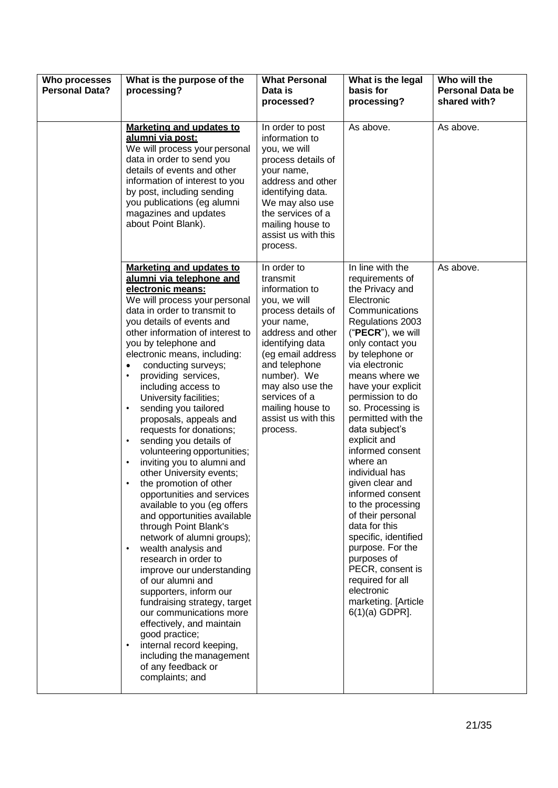| Who processes<br><b>Personal Data?</b> | What is the purpose of the<br>processing?                                                                                                                                                                                                                                                                                                                                                                                                                                                                                                                                                                                                                                                                                                                                                                                                                                                                                                                                                                                                                                                          | <b>What Personal</b><br>Data is<br>processed?                                                                                                                                                                                                                                           | What is the legal<br>basis for<br>processing?                                                                                                                                                                                                                                                                                                                                                                                                                                                                                                                                                                                                     | Who will the<br><b>Personal Data be</b><br>shared with? |
|----------------------------------------|----------------------------------------------------------------------------------------------------------------------------------------------------------------------------------------------------------------------------------------------------------------------------------------------------------------------------------------------------------------------------------------------------------------------------------------------------------------------------------------------------------------------------------------------------------------------------------------------------------------------------------------------------------------------------------------------------------------------------------------------------------------------------------------------------------------------------------------------------------------------------------------------------------------------------------------------------------------------------------------------------------------------------------------------------------------------------------------------------|-----------------------------------------------------------------------------------------------------------------------------------------------------------------------------------------------------------------------------------------------------------------------------------------|---------------------------------------------------------------------------------------------------------------------------------------------------------------------------------------------------------------------------------------------------------------------------------------------------------------------------------------------------------------------------------------------------------------------------------------------------------------------------------------------------------------------------------------------------------------------------------------------------------------------------------------------------|---------------------------------------------------------|
|                                        | <b>Marketing and updates to</b><br>alumni via post:<br>We will process your personal<br>data in order to send you<br>details of events and other<br>information of interest to you<br>by post, including sending<br>you publications (eg alumni<br>magazines and updates<br>about Point Blank).                                                                                                                                                                                                                                                                                                                                                                                                                                                                                                                                                                                                                                                                                                                                                                                                    | In order to post<br>information to<br>you, we will<br>process details of<br>your name,<br>address and other<br>identifying data.<br>We may also use<br>the services of a<br>mailing house to<br>assist us with this<br>process.                                                         | As above.                                                                                                                                                                                                                                                                                                                                                                                                                                                                                                                                                                                                                                         | As above.                                               |
|                                        | Marketing and updates to<br>alumni via telephone and<br>electronic means:<br>We will process your personal<br>data in order to transmit to<br>you details of events and<br>other information of interest to<br>you by telephone and<br>electronic means, including:<br>conducting surveys;<br>$\bullet$<br>providing services,<br>including access to<br>University facilities;<br>sending you tailored<br>proposals, appeals and<br>requests for donations;<br>sending you details of<br>volunteering opportunities;<br>inviting you to alumni and<br>other University events;<br>the promotion of other<br>opportunities and services<br>available to you (eg offers<br>and opportunities available<br>through Point Blank's<br>network of alumni groups);<br>wealth analysis and<br>research in order to<br>improve our understanding<br>of our alumni and<br>supporters, inform our<br>fundraising strategy, target<br>our communications more<br>effectively, and maintain<br>good practice;<br>internal record keeping,<br>including the management<br>of any feedback or<br>complaints; and | In order to<br>transmit<br>information to<br>you, we will<br>process details of<br>your name,<br>address and other<br>identifying data<br>(eg email address<br>and telephone<br>number). We<br>may also use the<br>services of a<br>mailing house to<br>assist us with this<br>process. | In line with the<br>requirements of<br>the Privacy and<br>Electronic<br>Communications<br>Regulations 2003<br>("PECR"), we will<br>only contact you<br>by telephone or<br>via electronic<br>means where we<br>have your explicit<br>permission to do<br>so. Processing is<br>permitted with the<br>data subject's<br>explicit and<br>informed consent<br>where an<br>individual has<br>given clear and<br>informed consent<br>to the processing<br>of their personal<br>data for this<br>specific, identified<br>purpose. For the<br>purposes of<br>PECR, consent is<br>required for all<br>electronic<br>marketing. [Article<br>$6(1)(a)$ GDPR]. | As above.                                               |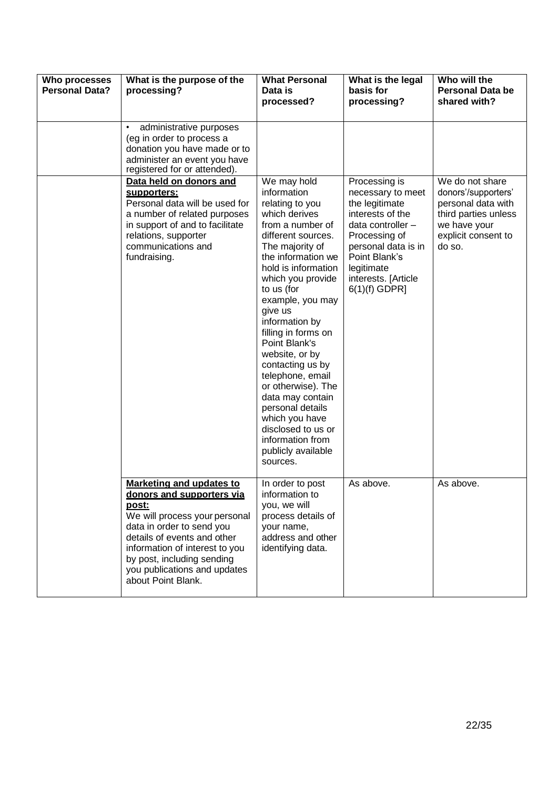| Who processes<br><b>Personal Data?</b> | What is the purpose of the<br>processing?                                                                                                                                                                                                                                                       | <b>What Personal</b><br>Data is<br>processed?                                                                                                                                                                                                                                                                                                                                                                                                                                                                              | What is the legal<br>basis for<br>processing?                                                                                                                                                                  | Who will the<br><b>Personal Data be</b><br>shared with?                                                                               |
|----------------------------------------|-------------------------------------------------------------------------------------------------------------------------------------------------------------------------------------------------------------------------------------------------------------------------------------------------|----------------------------------------------------------------------------------------------------------------------------------------------------------------------------------------------------------------------------------------------------------------------------------------------------------------------------------------------------------------------------------------------------------------------------------------------------------------------------------------------------------------------------|----------------------------------------------------------------------------------------------------------------------------------------------------------------------------------------------------------------|---------------------------------------------------------------------------------------------------------------------------------------|
|                                        | administrative purposes<br>(eg in order to process a<br>donation you have made or to<br>administer an event you have<br>registered for or attended).                                                                                                                                            |                                                                                                                                                                                                                                                                                                                                                                                                                                                                                                                            |                                                                                                                                                                                                                |                                                                                                                                       |
|                                        | Data held on donors and<br>supporters:<br>Personal data will be used for<br>a number of related purposes<br>in support of and to facilitate<br>relations, supporter<br>communications and<br>fundraising.                                                                                       | We may hold<br>information<br>relating to you<br>which derives<br>from a number of<br>different sources.<br>The majority of<br>the information we<br>hold is information<br>which you provide<br>to us (for<br>example, you may<br>give us<br>information by<br>filling in forms on<br>Point Blank's<br>website, or by<br>contacting us by<br>telephone, email<br>or otherwise). The<br>data may contain<br>personal details<br>which you have<br>disclosed to us or<br>information from<br>publicly available<br>sources. | Processing is<br>necessary to meet<br>the legitimate<br>interests of the<br>data controller -<br>Processing of<br>personal data is in<br>Point Blank's<br>legitimate<br>interests. [Article<br>$6(1)(f)$ GDPR] | We do not share<br>donors'/supporters'<br>personal data with<br>third parties unless<br>we have your<br>explicit consent to<br>do so. |
|                                        | <b>Marketing and updates to</b><br>donors and supporters via<br><u>post:</u><br>We will process your personal<br>data in order to send you<br>details of events and other<br>information of interest to you<br>by post, including sending<br>you publications and updates<br>about Point Blank. | In order to post<br>information to<br>you, we will<br>process details of<br>your name,<br>address and other<br>identifying data.                                                                                                                                                                                                                                                                                                                                                                                           | As above.                                                                                                                                                                                                      | As above.                                                                                                                             |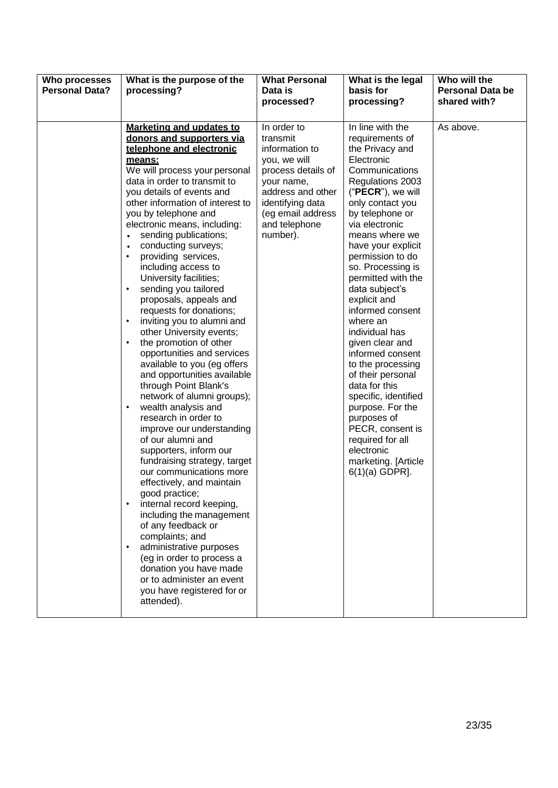| Who processes<br><b>Personal Data?</b> | What is the purpose of the<br>processing?                                                                                                                                                                                                                                                                                                                                                                                                                                                                                                                                                                                                                                                                                                                                                                                                                                                                                                                                                                                                                                                                                                                                                                                                                                      | <b>What Personal</b><br>Data is<br>processed?                                                                                                                                            | What is the legal<br>basis for<br>processing?                                                                                                                                                                                                                                                                                                                                                                                                                                                                                                                                                                                                     | Who will the<br><b>Personal Data be</b><br>shared with? |
|----------------------------------------|--------------------------------------------------------------------------------------------------------------------------------------------------------------------------------------------------------------------------------------------------------------------------------------------------------------------------------------------------------------------------------------------------------------------------------------------------------------------------------------------------------------------------------------------------------------------------------------------------------------------------------------------------------------------------------------------------------------------------------------------------------------------------------------------------------------------------------------------------------------------------------------------------------------------------------------------------------------------------------------------------------------------------------------------------------------------------------------------------------------------------------------------------------------------------------------------------------------------------------------------------------------------------------|------------------------------------------------------------------------------------------------------------------------------------------------------------------------------------------|---------------------------------------------------------------------------------------------------------------------------------------------------------------------------------------------------------------------------------------------------------------------------------------------------------------------------------------------------------------------------------------------------------------------------------------------------------------------------------------------------------------------------------------------------------------------------------------------------------------------------------------------------|---------------------------------------------------------|
|                                        | Marketing and updates to<br>donors and supporters via<br>telephone and electronic<br>means:<br>We will process your personal<br>data in order to transmit to<br>you details of events and<br>other information of interest to<br>you by telephone and<br>electronic means, including:<br>sending publications;<br>conducting surveys;<br>providing services,<br>including access to<br>University facilities;<br>sending you tailored<br>$\bullet$<br>proposals, appeals and<br>requests for donations;<br>inviting you to alumni and<br>$\bullet$<br>other University events;<br>the promotion of other<br>٠<br>opportunities and services<br>available to you (eg offers<br>and opportunities available<br>through Point Blank's<br>network of alumni groups);<br>wealth analysis and<br>$\bullet$<br>research in order to<br>improve our understanding<br>of our alumni and<br>supporters, inform our<br>fundraising strategy, target<br>our communications more<br>effectively, and maintain<br>good practice;<br>internal record keeping,<br>including the management<br>of any feedback or<br>complaints; and<br>administrative purposes<br>(eg in order to process a<br>donation you have made<br>or to administer an event<br>you have registered for or<br>attended). | In order to<br>transmit<br>information to<br>you, we will<br>process details of<br>your name,<br>address and other<br>identifying data<br>(eg email address<br>and telephone<br>number). | In line with the<br>requirements of<br>the Privacy and<br>Electronic<br>Communications<br>Regulations 2003<br>("PECR"), we will<br>only contact you<br>by telephone or<br>via electronic<br>means where we<br>have your explicit<br>permission to do<br>so. Processing is<br>permitted with the<br>data subject's<br>explicit and<br>informed consent<br>where an<br>individual has<br>given clear and<br>informed consent<br>to the processing<br>of their personal<br>data for this<br>specific, identified<br>purpose. For the<br>purposes of<br>PECR, consent is<br>required for all<br>electronic<br>marketing. [Article<br>$6(1)(a)$ GDPR]. | As above.                                               |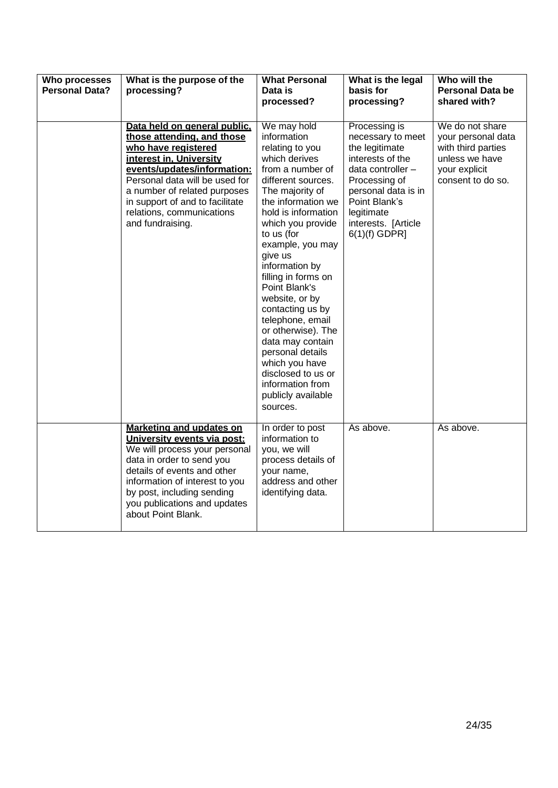| Who processes<br><b>Personal Data?</b> | What is the purpose of the<br>processing?                                                                                                                                                                                                                                                         | <b>What Personal</b><br>Data is<br>processed?                                                                                                                                                                                                                                                                                                                                                                                                                                                                              | What is the legal<br>basis for<br>processing?                                                                                                                                                                  | Who will the<br><b>Personal Data be</b><br>shared with?                                                             |
|----------------------------------------|---------------------------------------------------------------------------------------------------------------------------------------------------------------------------------------------------------------------------------------------------------------------------------------------------|----------------------------------------------------------------------------------------------------------------------------------------------------------------------------------------------------------------------------------------------------------------------------------------------------------------------------------------------------------------------------------------------------------------------------------------------------------------------------------------------------------------------------|----------------------------------------------------------------------------------------------------------------------------------------------------------------------------------------------------------------|---------------------------------------------------------------------------------------------------------------------|
|                                        | Data held on general public.<br>those attending, and those<br>who have registered<br>interest in, University<br>events/updates/information:<br>Personal data will be used for<br>a number of related purposes<br>in support of and to facilitate<br>relations, communications<br>and fundraising. | We may hold<br>information<br>relating to you<br>which derives<br>from a number of<br>different sources.<br>The majority of<br>the information we<br>hold is information<br>which you provide<br>to us (for<br>example, you may<br>give us<br>information by<br>filling in forms on<br>Point Blank's<br>website, or by<br>contacting us by<br>telephone, email<br>or otherwise). The<br>data may contain<br>personal details<br>which you have<br>disclosed to us or<br>information from<br>publicly available<br>sources. | Processing is<br>necessary to meet<br>the legitimate<br>interests of the<br>data controller -<br>Processing of<br>personal data is in<br>Point Blank's<br>legitimate<br>interests. [Article<br>$6(1)(f)$ GDPR] | We do not share<br>your personal data<br>with third parties<br>unless we have<br>your explicit<br>consent to do so. |
|                                        | <b>Marketing and updates on</b><br>University events via post:<br>We will process your personal<br>data in order to send you<br>details of events and other<br>information of interest to you<br>by post, including sending<br>you publications and updates<br>about Point Blank.                 | In order to post<br>information to<br>you, we will<br>process details of<br>your name,<br>address and other<br>identifying data.                                                                                                                                                                                                                                                                                                                                                                                           | As above.                                                                                                                                                                                                      | As above.                                                                                                           |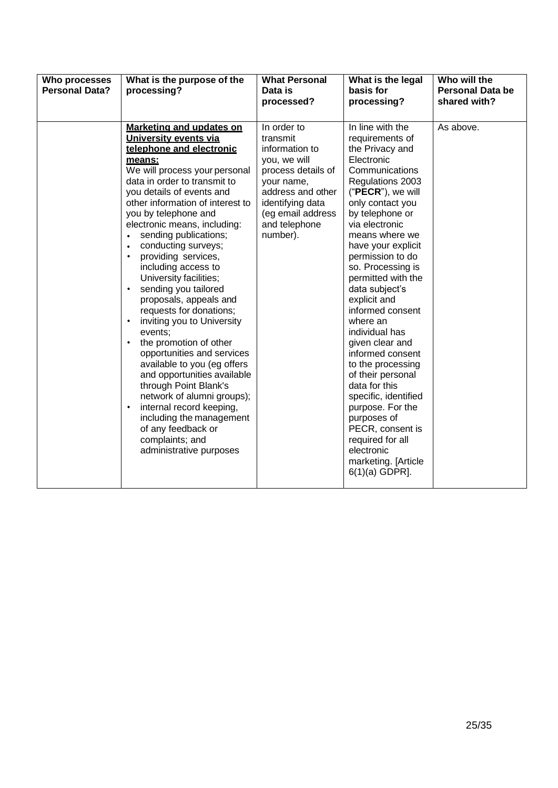| Who processes<br><b>Personal Data?</b> | What is the purpose of the<br>processing?                                                                                                                                                                                                                                                                                                                                                                                                                                                                                                                                                                                                                                                                                                                                                                                                                                              | <b>What Personal</b><br>Data is<br>processed?                                                                                                                                            | What is the legal<br>basis for<br>processing?                                                                                                                                                                                                                                                                                                                                                                                                                                                                                                                                                                                                     | Who will the<br><b>Personal Data be</b><br>shared with? |
|----------------------------------------|----------------------------------------------------------------------------------------------------------------------------------------------------------------------------------------------------------------------------------------------------------------------------------------------------------------------------------------------------------------------------------------------------------------------------------------------------------------------------------------------------------------------------------------------------------------------------------------------------------------------------------------------------------------------------------------------------------------------------------------------------------------------------------------------------------------------------------------------------------------------------------------|------------------------------------------------------------------------------------------------------------------------------------------------------------------------------------------|---------------------------------------------------------------------------------------------------------------------------------------------------------------------------------------------------------------------------------------------------------------------------------------------------------------------------------------------------------------------------------------------------------------------------------------------------------------------------------------------------------------------------------------------------------------------------------------------------------------------------------------------------|---------------------------------------------------------|
|                                        | <b>Marketing and updates on</b><br>University events via<br>telephone and electronic<br>means:<br>We will process your personal<br>data in order to transmit to<br>you details of events and<br>other information of interest to<br>you by telephone and<br>electronic means, including:<br>sending publications;<br>$\bullet$<br>conducting surveys;<br>$\bullet$<br>providing services,<br>including access to<br>University facilities;<br>sending you tailored<br>proposals, appeals and<br>requests for donations;<br>inviting you to University<br>events;<br>the promotion of other<br>$\bullet$<br>opportunities and services<br>available to you (eg offers<br>and opportunities available<br>through Point Blank's<br>network of alumni groups);<br>internal record keeping,<br>including the management<br>of any feedback or<br>complaints; and<br>administrative purposes | In order to<br>transmit<br>information to<br>you, we will<br>process details of<br>your name,<br>address and other<br>identifying data<br>(eg email address<br>and telephone<br>number). | In line with the<br>requirements of<br>the Privacy and<br>Electronic<br>Communications<br>Regulations 2003<br>("PECR"), we will<br>only contact you<br>by telephone or<br>via electronic<br>means where we<br>have your explicit<br>permission to do<br>so. Processing is<br>permitted with the<br>data subject's<br>explicit and<br>informed consent<br>where an<br>individual has<br>given clear and<br>informed consent<br>to the processing<br>of their personal<br>data for this<br>specific, identified<br>purpose. For the<br>purposes of<br>PECR, consent is<br>required for all<br>electronic<br>marketing. [Article<br>$6(1)(a)$ GDPR]. | As above.                                               |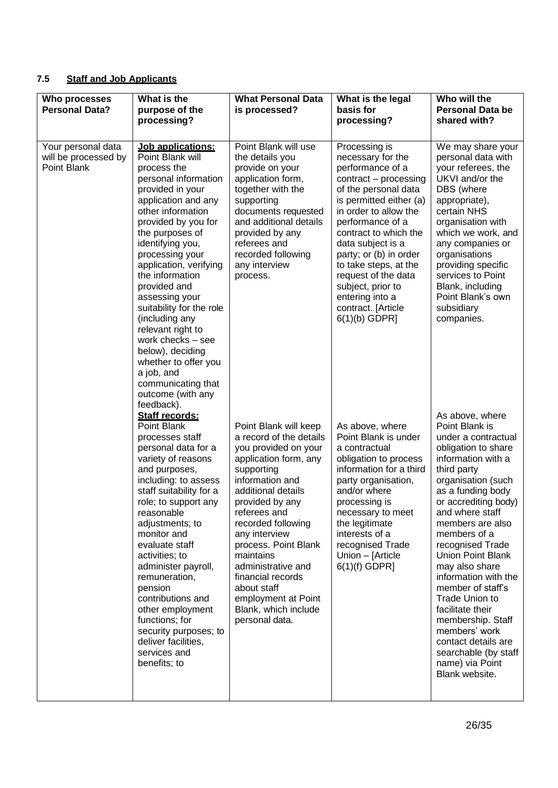# **7.5 Staff and Job Applicants**

| Who processes<br><b>Personal Data?</b>                    | What is the<br>purpose of the<br>processing?                                                                                                                                                                                                                                                                                                                                                                                                                                                                            | <b>What Personal Data</b><br>is processed?                                                                                                                                                                                                                                                                                                                                                         | What is the legal<br>basis for<br>processing?                                                                                                                                                                                                                                                                                                                                            | Who will the<br><b>Personal Data be</b><br>shared with?                                                                                                                                                                                                                                                                                                                                                                                                                                                                       |
|-----------------------------------------------------------|-------------------------------------------------------------------------------------------------------------------------------------------------------------------------------------------------------------------------------------------------------------------------------------------------------------------------------------------------------------------------------------------------------------------------------------------------------------------------------------------------------------------------|----------------------------------------------------------------------------------------------------------------------------------------------------------------------------------------------------------------------------------------------------------------------------------------------------------------------------------------------------------------------------------------------------|------------------------------------------------------------------------------------------------------------------------------------------------------------------------------------------------------------------------------------------------------------------------------------------------------------------------------------------------------------------------------------------|-------------------------------------------------------------------------------------------------------------------------------------------------------------------------------------------------------------------------------------------------------------------------------------------------------------------------------------------------------------------------------------------------------------------------------------------------------------------------------------------------------------------------------|
| Your personal data<br>will be processed by<br>Point Blank | Job applications:<br>Point Blank will<br>process the<br>personal information<br>provided in your<br>application and any<br>other information<br>provided by you for<br>the purposes of<br>identifying you,<br>processing your<br>application, verifying<br>the information<br>provided and<br>assessing your<br>suitability for the role<br>(including any<br>relevant right to<br>work checks - see<br>below), deciding<br>whether to offer you<br>a job, and<br>communicating that<br>outcome (with any<br>feedback). | Point Blank will use<br>the details you<br>provide on your<br>application form,<br>together with the<br>supporting<br>documents requested<br>and additional details<br>provided by any<br>referees and<br>recorded following<br>any interview<br>process.                                                                                                                                          | Processing is<br>necessary for the<br>performance of a<br>contract - processing<br>of the personal data<br>is permitted either (a)<br>in order to allow the<br>performance of a<br>contract to which the<br>data subject is a<br>party; or (b) in order<br>to take steps, at the<br>request of the data<br>subject, prior to<br>entering into a<br>contract. [Article<br>$6(1)(b)$ GDPR] | We may share your<br>personal data with<br>your referees, the<br>UKVI and/or the<br>DBS (where<br>appropriate),<br>certain NHS<br>organisation with<br>which we work, and<br>any companies or<br>organisations<br>providing specific<br>services to Point<br>Blank, including<br>Point Blank's own<br>subsidiary<br>companies.                                                                                                                                                                                                |
|                                                           | Staff records:<br>Point Blank<br>processes staff<br>personal data for a<br>variety of reasons<br>and purposes,<br>including: to assess<br>staff suitability for a<br>role; to support any<br>reasonable<br>adjustments; to<br>monitor and<br>evaluate staff<br>activities; to<br>administer payroll,<br>remuneration,<br>pension<br>contributions and<br>other employment<br>functions; for<br>security purposes; to<br>deliver facilities,<br>services and<br>benefits; to                                             | Point Blank will keep<br>a record of the details<br>you provided on your<br>application form, any<br>supporting<br>information and<br>additional details<br>provided by any<br>referees and<br>recorded following<br>any interview<br>process. Point Blank<br>maintains<br>administrative and<br>financial records<br>about staff<br>employment at Point<br>Blank, which include<br>personal data. | As above, where<br>Point Blank is under<br>a contractual<br>obligation to process<br>information for a third<br>party organisation,<br>and/or where<br>processing is<br>necessary to meet<br>the legitimate<br>interests of a<br>recognised Trade<br>Union - [Article<br>$6(1)(f)$ GDPR]                                                                                                 | As above, where<br>Point Blank is<br>under a contractual<br>obligation to share<br>information with a<br>third party<br>organisation (such<br>as a funding body<br>or accrediting body)<br>and where staff<br>members are also<br>members of a<br>recognised Trade<br><b>Union Point Blank</b><br>may also share<br>information with the<br>member of staff's<br>Trade Union to<br>facilitate their<br>membership. Staff<br>members' work<br>contact details are<br>searchable (by staff<br>name) via Point<br>Blank website. |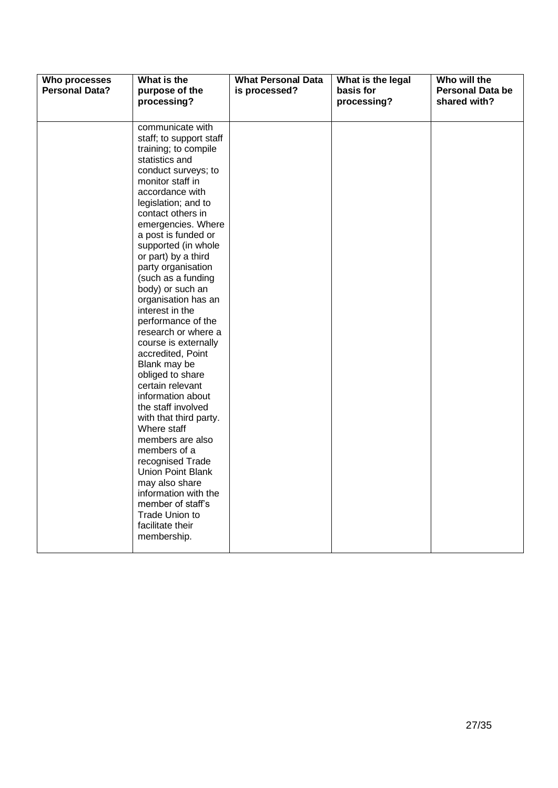| Who processes<br><b>Personal Data?</b> | What is the<br>purpose of the<br>processing?                                                                                                                                                                                                                                                                                                                                                                                                                                                                                                                                                                                                                                                                                                                                                                                                | <b>What Personal Data</b><br>is processed? | What is the legal<br>basis for<br>processing? | Who will the<br><b>Personal Data be</b><br>shared with? |
|----------------------------------------|---------------------------------------------------------------------------------------------------------------------------------------------------------------------------------------------------------------------------------------------------------------------------------------------------------------------------------------------------------------------------------------------------------------------------------------------------------------------------------------------------------------------------------------------------------------------------------------------------------------------------------------------------------------------------------------------------------------------------------------------------------------------------------------------------------------------------------------------|--------------------------------------------|-----------------------------------------------|---------------------------------------------------------|
|                                        | communicate with<br>staff; to support staff<br>training; to compile<br>statistics and<br>conduct surveys; to<br>monitor staff in<br>accordance with<br>legislation; and to<br>contact others in<br>emergencies. Where<br>a post is funded or<br>supported (in whole<br>or part) by a third<br>party organisation<br>(such as a funding<br>body) or such an<br>organisation has an<br>interest in the<br>performance of the<br>research or where a<br>course is externally<br>accredited, Point<br>Blank may be<br>obliged to share<br>certain relevant<br>information about<br>the staff involved<br>with that third party.<br>Where staff<br>members are also<br>members of a<br>recognised Trade<br>Union Point Blank<br>may also share<br>information with the<br>member of staff's<br>Trade Union to<br>facilitate their<br>membership. |                                            |                                               |                                                         |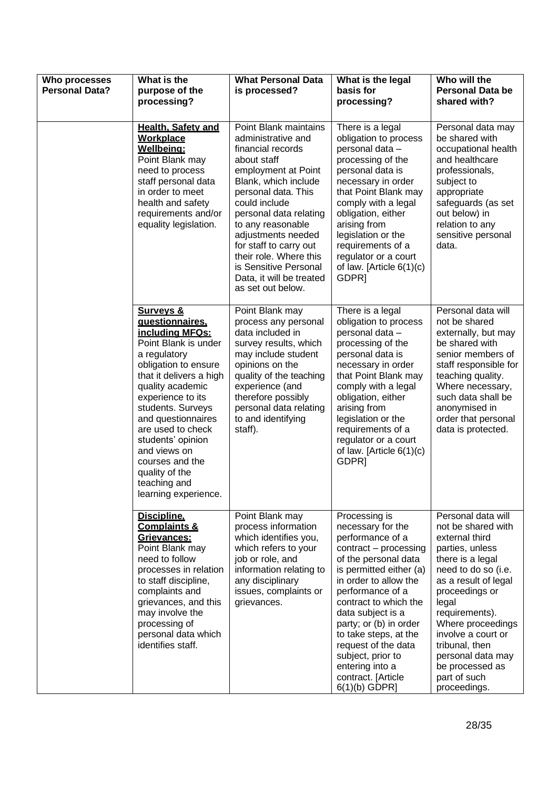| Who processes<br><b>Personal Data?</b> | What is the<br>purpose of the<br>processing?                                                                                                                                                                                                                                                                                                                                     | <b>What Personal Data</b><br>is processed?                                                                                                                                                                                                                                                                                                                                | What is the legal<br>basis for<br>processing?                                                                                                                                                                                                                                                                                                                                            | Who will the<br><b>Personal Data be</b><br>shared with?                                                                                                                                                                                                                                                                            |
|----------------------------------------|----------------------------------------------------------------------------------------------------------------------------------------------------------------------------------------------------------------------------------------------------------------------------------------------------------------------------------------------------------------------------------|---------------------------------------------------------------------------------------------------------------------------------------------------------------------------------------------------------------------------------------------------------------------------------------------------------------------------------------------------------------------------|------------------------------------------------------------------------------------------------------------------------------------------------------------------------------------------------------------------------------------------------------------------------------------------------------------------------------------------------------------------------------------------|------------------------------------------------------------------------------------------------------------------------------------------------------------------------------------------------------------------------------------------------------------------------------------------------------------------------------------|
|                                        | Health, Safety and<br><b>Workplace</b><br>Wellbeing:<br>Point Blank may<br>need to process<br>staff personal data<br>in order to meet<br>health and safety<br>requirements and/or<br>equality legislation.                                                                                                                                                                       | Point Blank maintains<br>administrative and<br>financial records<br>about staff<br>employment at Point<br>Blank, which include<br>personal data. This<br>could include<br>personal data relating<br>to any reasonable<br>adjustments needed<br>for staff to carry out<br>their role. Where this<br>is Sensitive Personal<br>Data, it will be treated<br>as set out below. | There is a legal<br>obligation to process<br>personal data -<br>processing of the<br>personal data is<br>necessary in order<br>that Point Blank may<br>comply with a legal<br>obligation, either<br>arising from<br>legislation or the<br>requirements of a<br>regulator or a court<br>of law. [Article $6(1)(c)$<br>GDPR]                                                               | Personal data may<br>be shared with<br>occupational health<br>and healthcare<br>professionals,<br>subject to<br>appropriate<br>safeguards (as set<br>out below) in<br>relation to any<br>sensitive personal<br>data.                                                                                                               |
|                                        | <b>Surveys &amp;</b><br>questionnaires.<br>including MFQs:<br>Point Blank is under<br>a regulatory<br>obligation to ensure<br>that it delivers a high<br>quality academic<br>experience to its<br>students. Surveys<br>and questionnaires<br>are used to check<br>students' opinion<br>and views on<br>courses and the<br>quality of the<br>teaching and<br>learning experience. | Point Blank may<br>process any personal<br>data included in<br>survey results, which<br>may include student<br>opinions on the<br>quality of the teaching<br>experience (and<br>therefore possibly<br>personal data relating<br>to and identifying<br>staff).                                                                                                             | There is a legal<br>obligation to process<br>personal data -<br>processing of the<br>personal data is<br>necessary in order<br>that Point Blank may<br>comply with a legal<br>obligation, either<br>arising from<br>legislation or the<br>requirements of a<br>regulator or a court<br>of law. [Article $6(1)(c)$<br>GDPR]                                                               | Personal data will<br>not be shared<br>externally, but may<br>be shared with<br>senior members of<br>staff responsible for<br>teaching quality.<br>Where necessary,<br>such data shall be<br>anonymised in<br>order that personal<br>data is protected.                                                                            |
|                                        | Discipline.<br><b>Complaints &amp;</b><br>Grievances:<br>Point Blank may<br>need to follow<br>processes in relation<br>to staff discipline,<br>complaints and<br>grievances, and this<br>may involve the<br>processing of<br>personal data which<br>identifies staff.                                                                                                            | Point Blank may<br>process information<br>which identifies you,<br>which refers to your<br>job or role, and<br>information relating to<br>any disciplinary<br>issues, complaints or<br>grievances.                                                                                                                                                                        | Processing is<br>necessary for the<br>performance of a<br>contract - processing<br>of the personal data<br>is permitted either (a)<br>in order to allow the<br>performance of a<br>contract to which the<br>data subject is a<br>party; or (b) in order<br>to take steps, at the<br>request of the data<br>subject, prior to<br>entering into a<br>contract. [Article<br>$6(1)(b)$ GDPR] | Personal data will<br>not be shared with<br>external third<br>parties, unless<br>there is a legal<br>need to do so (i.e.<br>as a result of legal<br>proceedings or<br>legal<br>requirements).<br>Where proceedings<br>involve a court or<br>tribunal, then<br>personal data may<br>be processed as<br>part of such<br>proceedings. |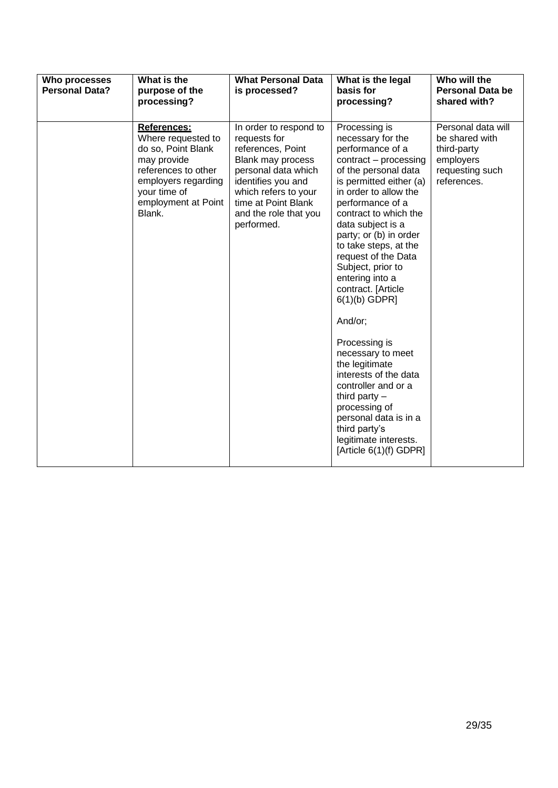| Who processes<br><b>Personal Data?</b> | What is the<br>purpose of the<br>processing?                                                                                                                          | <b>What Personal Data</b><br>is processed?                                                                                                                                                                          | What is the legal<br>basis for<br>processing?                                                                                                                                                                                                                                                                                                                                                                                                                                                                                                                                                                                                | Who will the<br><b>Personal Data be</b><br>shared with?                                            |
|----------------------------------------|-----------------------------------------------------------------------------------------------------------------------------------------------------------------------|---------------------------------------------------------------------------------------------------------------------------------------------------------------------------------------------------------------------|----------------------------------------------------------------------------------------------------------------------------------------------------------------------------------------------------------------------------------------------------------------------------------------------------------------------------------------------------------------------------------------------------------------------------------------------------------------------------------------------------------------------------------------------------------------------------------------------------------------------------------------------|----------------------------------------------------------------------------------------------------|
|                                        | References:<br>Where requested to<br>do so, Point Blank<br>may provide<br>references to other<br>employers regarding<br>your time of<br>employment at Point<br>Blank. | In order to respond to<br>requests for<br>references, Point<br>Blank may process<br>personal data which<br>identifies you and<br>which refers to your<br>time at Point Blank<br>and the role that you<br>performed. | Processing is<br>necessary for the<br>performance of a<br>contract - processing<br>of the personal data<br>is permitted either (a)<br>in order to allow the<br>performance of a<br>contract to which the<br>data subject is a<br>party; or (b) in order<br>to take steps, at the<br>request of the Data<br>Subject, prior to<br>entering into a<br>contract. [Article<br>$6(1)(b)$ GDPR]<br>And/or;<br>Processing is<br>necessary to meet<br>the legitimate<br>interests of the data<br>controller and or a<br>third party $-$<br>processing of<br>personal data is in a<br>third party's<br>legitimate interests.<br>[Article 6(1)(f) GDPR] | Personal data will<br>be shared with<br>third-party<br>employers<br>requesting such<br>references. |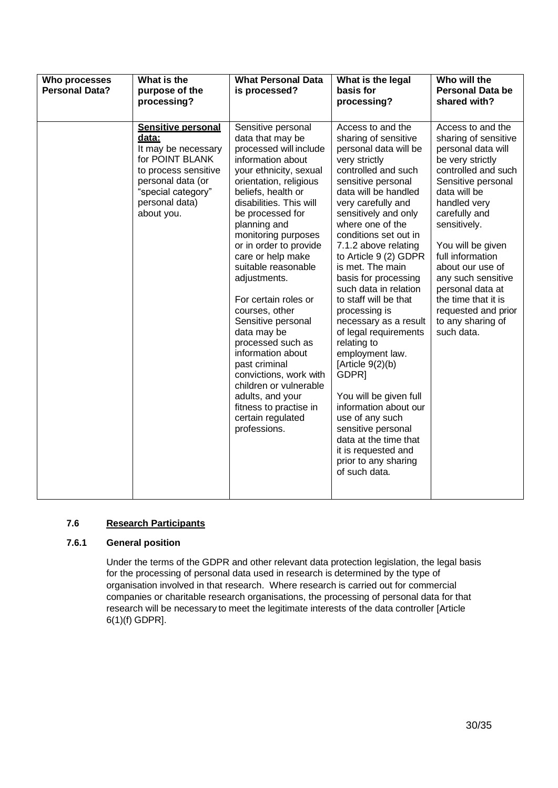| Who processes<br><b>Personal Data?</b> | What is the<br>purpose of the<br>processing?                                                                                                                                    | <b>What Personal Data</b><br>is processed?                                                                                                                                                                                                                                                                                                                                                                                                                                                                                                                                                                                   | What is the legal<br>basis for<br>processing?                                                                                                                                                                                                                                                                                                                                                                                                                                                                                                                                                                                                                                                                                           | Who will the<br><b>Personal Data be</b><br>shared with?                                                                                                                                                                                                                                                                                                                                   |
|----------------------------------------|---------------------------------------------------------------------------------------------------------------------------------------------------------------------------------|------------------------------------------------------------------------------------------------------------------------------------------------------------------------------------------------------------------------------------------------------------------------------------------------------------------------------------------------------------------------------------------------------------------------------------------------------------------------------------------------------------------------------------------------------------------------------------------------------------------------------|-----------------------------------------------------------------------------------------------------------------------------------------------------------------------------------------------------------------------------------------------------------------------------------------------------------------------------------------------------------------------------------------------------------------------------------------------------------------------------------------------------------------------------------------------------------------------------------------------------------------------------------------------------------------------------------------------------------------------------------------|-------------------------------------------------------------------------------------------------------------------------------------------------------------------------------------------------------------------------------------------------------------------------------------------------------------------------------------------------------------------------------------------|
|                                        | <b>Sensitive personal</b><br>data:<br>It may be necessary<br>for POINT BLANK<br>to process sensitive<br>personal data (or<br>"special category"<br>personal data)<br>about you. | Sensitive personal<br>data that may be<br>processed will include<br>information about<br>your ethnicity, sexual<br>orientation, religious<br>beliefs, health or<br>disabilities. This will<br>be processed for<br>planning and<br>monitoring purposes<br>or in order to provide<br>care or help make<br>suitable reasonable<br>adjustments.<br>For certain roles or<br>courses, other<br>Sensitive personal<br>data may be<br>processed such as<br>information about<br>past criminal<br>convictions, work with<br>children or vulnerable<br>adults, and your<br>fitness to practise in<br>certain regulated<br>professions. | Access to and the<br>sharing of sensitive<br>personal data will be<br>very strictly<br>controlled and such<br>sensitive personal<br>data will be handled<br>very carefully and<br>sensitively and only<br>where one of the<br>conditions set out in<br>7.1.2 above relating<br>to Article 9 (2) GDPR<br>is met. The main<br>basis for processing<br>such data in relation<br>to staff will be that<br>processing is<br>necessary as a result<br>of legal requirements<br>relating to<br>employment law.<br>[Article $9(2)(b)$<br>GDPR <sub>1</sub><br>You will be given full<br>information about our<br>use of any such<br>sensitive personal<br>data at the time that<br>it is requested and<br>prior to any sharing<br>of such data. | Access to and the<br>sharing of sensitive<br>personal data will<br>be very strictly<br>controlled and such<br>Sensitive personal<br>data will be<br>handled very<br>carefully and<br>sensitively.<br>You will be given<br>full information<br>about our use of<br>any such sensitive<br>personal data at<br>the time that it is<br>requested and prior<br>to any sharing of<br>such data. |

#### **7.6 Research Participants**

# **7.6.1 General position**

Under the terms of the GDPR and other relevant data protection legislation, the legal basis for the processing of personal data used in research is determined by the type of organisation involved in that research. Where research is carried out for commercial companies or charitable research organisations, the processing of personal data for that research will be necessary to meet the legitimate interests of the data controller [Article 6(1)(f) GDPR].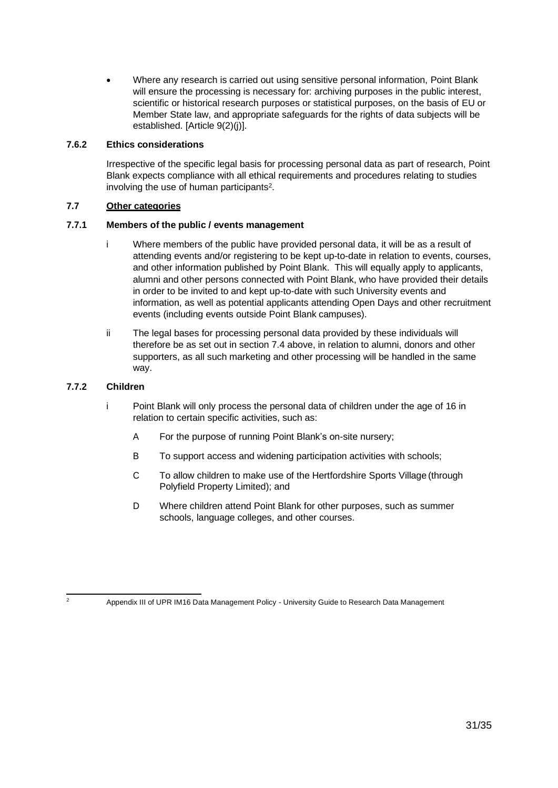• Where any research is carried out using sensitive personal information, Point Blank will ensure the processing is necessary for: archiving purposes in the public interest, scientific or historical research purposes or statistical purposes, on the basis of EU or Member State law, and appropriate safeguards for the rights of data subjects will be established. [Article 9(2)(j)].

#### **7.6.2 Ethics considerations**

Irrespective of the specific legal basis for processing personal data as part of research, Point Blank expects compliance with all ethical requirements and procedures relating to studies involving the use of human participants<sup>2</sup>.

# **7.7 Other categories**

## **7.7.1 Members of the public / events management**

- i Where members of the public have provided personal data, it will be as a result of attending events and/or registering to be kept up-to-date in relation to events, courses, and other information published by Point Blank. This will equally apply to applicants, alumni and other persons connected with Point Blank, who have provided their details in order to be invited to and kept up-to-date with such University events and information, as well as potential applicants attending Open Days and other recruitment events (including events outside Point Blank campuses).
- ii The legal bases for processing personal data provided by these individuals will therefore be as set out in section 7.4 above, in relation to alumni, donors and other supporters, as all such marketing and other processing will be handled in the same way.

#### **7.7.2 Children**

- i Point Blank will only process the personal data of children under the age of 16 in relation to certain specific activities, such as:
	- A For the purpose of running Point Blank's on-site nursery;
	- B To support access and widening participation activities with schools;
	- C To allow children to make use of the Hertfordshire Sports Village (through Polyfield Property Limited); and
	- D Where children attend Point Blank for other purposes, such as summer schools, language colleges, and other courses.

<sup>2</sup> Appendix III of UPR IM16 Data Management Policy - University Guide to Research Data Management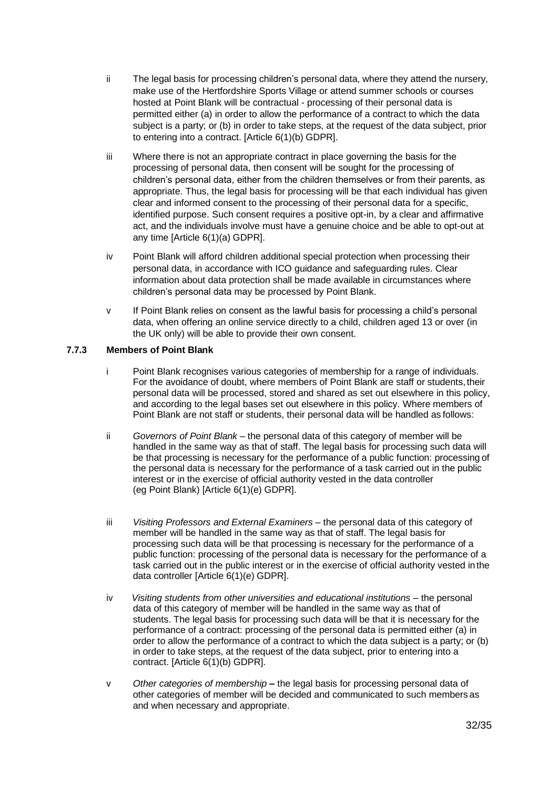- ii The legal basis for processing children's personal data, where they attend the nursery, make use of the Hertfordshire Sports Village or attend summer schools or courses hosted at Point Blank will be contractual - processing of their personal data is permitted either (a) in order to allow the performance of a contract to which the data subject is a party; or (b) in order to take steps, at the request of the data subject, prior to entering into a contract. [Article 6(1)(b) GDPR].
- iii Where there is not an appropriate contract in place governing the basis for the processing of personal data, then consent will be sought for the processing of children's personal data, either from the children themselves or from their parents, as appropriate. Thus, the legal basis for processing will be that each individual has given clear and informed consent to the processing of their personal data for a specific, identified purpose. Such consent requires a positive opt-in, by a clear and affirmative act, and the individuals involve must have a genuine choice and be able to opt-out at any time [Article 6(1)(a) GDPR].
- iv Point Blank will afford children additional special protection when processing their personal data, in accordance with ICO guidance and safeguarding rules. Clear information about data protection shall be made available in circumstances where children's personal data may be processed by Point Blank.
- v If Point Blank relies on consent as the lawful basis for processing a child's personal data, when offering an online service directly to a child, children aged 13 or over (in the UK only) will be able to provide their own consent.

#### **7.7.3 Members of Point Blank**

- i Point Blank recognises various categories of membership for a range of individuals. For the avoidance of doubt, where members of Point Blank are staff or students, their personal data will be processed, stored and shared as set out elsewhere in this policy, and according to the legal bases set out elsewhere in this policy. Where members of Point Blank are not staff or students, their personal data will be handled as follows:
- ii *Governors of Point Blank* the personal data of this category of member will be handled in the same way as that of staff. The legal basis for processing such data will be that processing is necessary for the performance of a public function: processing of the personal data is necessary for the performance of a task carried out in the public interest or in the exercise of official authority vested in the data controller (eg Point Blank) [Article 6(1)(e) GDPR].
- iii *Visiting Professors and External Examiners*  the personal data of this category of member will be handled in the same way as that of staff. The legal basis for processing such data will be that processing is necessary for the performance of a public function: processing of the personal data is necessary for the performance of a task carried out in the public interest or in the exercise of official authority vested inthe data controller [Article 6(1)(e) GDPR].
- iv *Visiting students from other universities and educational institutions –* the personal data of this category of member will be handled in the same way as that of students. The legal basis for processing such data will be that it is necessary for the performance of a contract: processing of the personal data is permitted either (a) in order to allow the performance of a contract to which the data subject is a party; or (b) in order to take steps, at the request of the data subject, prior to entering into a contract. [Article 6(1)(b) GDPR].
- v *Other categories of membership –* the legal basis for processing personal data of other categories of member will be decided and communicated to such members as and when necessary and appropriate.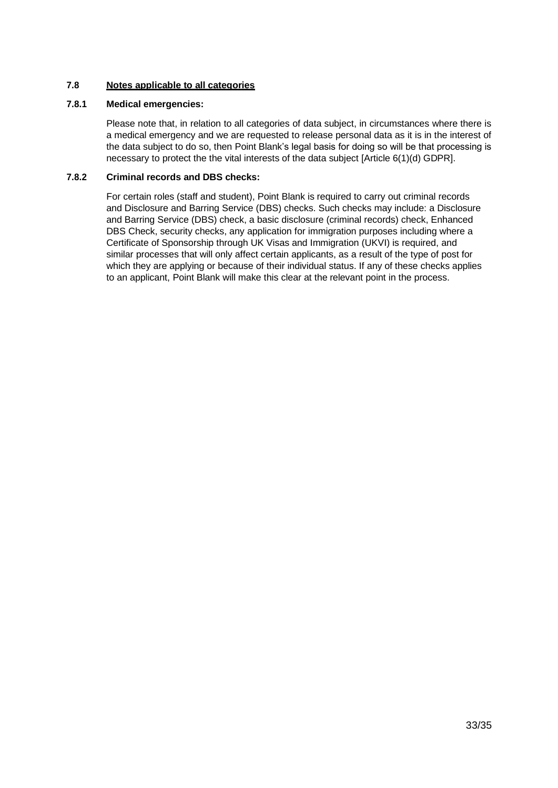## **7.8 Notes applicable to all categories**

#### **7.8.1 Medical emergencies:**

Please note that, in relation to all categories of data subject, in circumstances where there is a medical emergency and we are requested to release personal data as it is in the interest of the data subject to do so, then Point Blank's legal basis for doing so will be that processing is necessary to protect the the vital interests of the data subject [Article 6(1)(d) GDPR].

#### **7.8.2 Criminal records and DBS checks:**

For certain roles (staff and student), Point Blank is required to carry out criminal records and Disclosure and Barring Service (DBS) checks. Such checks may include: a Disclosure and Barring Service (DBS) check, a basic disclosure (criminal records) check, Enhanced DBS Check, security checks, any application for immigration purposes including where a Certificate of Sponsorship through UK Visas and Immigration (UKVI) is required, and similar processes that will only affect certain applicants, as a result of the type of post for which they are applying or because of their individual status. If any of these checks applies to an applicant, Point Blank will make this clear at the relevant point in the process.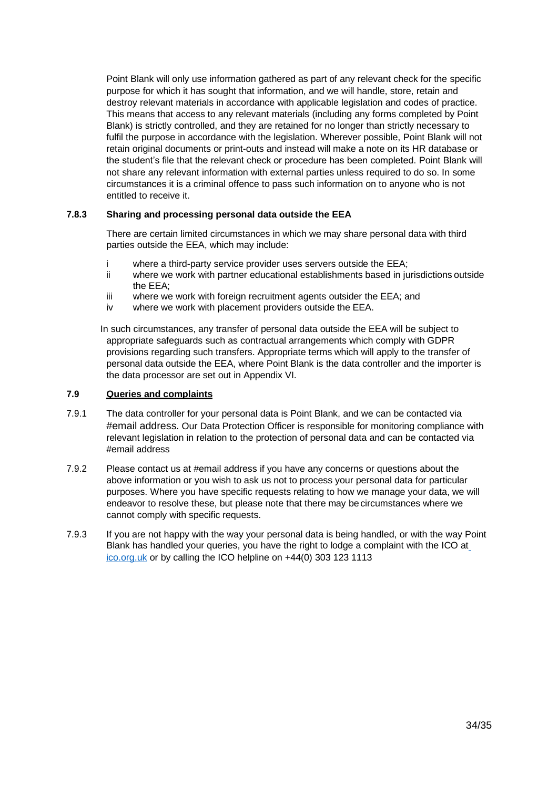Point Blank will only use information gathered as part of any relevant check for the specific purpose for which it has sought that information, and we will handle, store, retain and destroy relevant materials in accordance with applicable legislation and codes of practice. This means that access to any relevant materials (including any forms completed by Point Blank) is strictly controlled, and they are retained for no longer than strictly necessary to fulfil the purpose in accordance with the legislation. Wherever possible, Point Blank will not retain original documents or print-outs and instead will make a note on its HR database or the student's file that the relevant check or procedure has been completed. Point Blank will not share any relevant information with external parties unless required to do so. In some circumstances it is a criminal offence to pass such information on to anyone who is not entitled to receive it.

#### **7.8.3 Sharing and processing personal data outside the EEA**

There are certain limited circumstances in which we may share personal data with third parties outside the EEA, which may include:

- where a third-party service provider uses servers outside the EEA;
- ii where we work with partner educational establishments based in jurisdictions outside the EEA;
- iii where we work with foreign recruitment agents outsider the EEA; and
- iv where we work with placement providers outside the EEA.

In such circumstances, any transfer of personal data outside the EEA will be subject to appropriate safeguards such as contractual arrangements which comply with GDPR provisions regarding such transfers. Appropriate terms which will apply to the transfer of personal data outside the EEA, where Point Blank is the data controller and the importer is the data processor are set out in Appendix VI.

# **7.9 Queries and complaints**

- 7.9.1 The data controller for your personal data is Point Blank, and we can be contacted via #email address. Our Data Protection Officer is responsible for monitoring compliance with relevant legislation in relation to the protection of personal data and can be contacted via #email address
- 7.9.2 Please contact us at #email address if you have any concerns or questions about the above information or you wish to ask us not to process your personal data for particular purposes. Where you have specific requests relating to how we manage your data, we will endeavor to resolve these, but please note that there may becircumstances where we cannot comply with specific requests.
- 7.9.3 If you are not happy with the way your personal data is being handled, or with the way Point Blank has handled your queries, you have the right to lodge a complaint with the ICO a[t](http://ico.org.uk/) [ico.org.uk](http://ico.org.uk/) or by calling the ICO helpline on +44(0) 303 123 1113